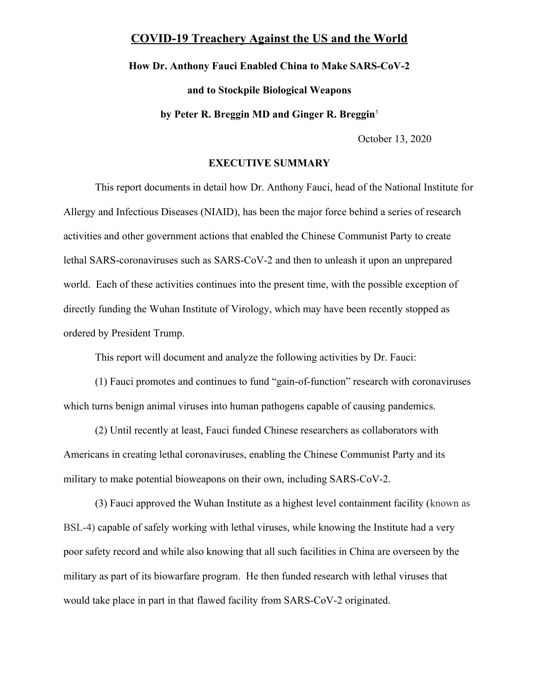# **COVID-19 Treachery Against the US and the World**

**How Dr. Anthony Fauci Enabled China to Make SARS-CoV-2 and to Stockpile Biological Weapons by Peter R. Breggin MD and Ginger R. Breggin**[1](#page-42-0)

October 13, 2020

### **EXECUTIVE SUMMARY**

This report documents in detail how Dr. Anthony Fauci, head of the National Institute for Allergy and Infectious Diseases (NIAID), has been the major force behind a series of research activities and other government actions that enabled the Chinese Communist Party to create lethal SARS-coronaviruses such as SARS-CoV-2 and then to unleash it upon an unprepared world. Each of these activities continues into the present time, with the possible exception of directly funding the Wuhan Institute of Virology, which may have been recently stopped as ordered by President Trump.

This report will document and analyze the following activities by Dr. Fauci:

(1) Fauci promotes and continues to fund "gain-of-function" research with coronaviruses which turns benign animal viruses into human pathogens capable of causing pandemics.

(2) Until recently at least, Fauci funded Chinese researchers as collaborators with Americans in creating lethal coronaviruses, enabling the Chinese Communist Party and its military to make potential bioweapons on their own, including SARS-CoV-2.

(3) Fauci approved the Wuhan Institute as a highest level containment facility (known as BSL-4) capable of safely working with lethal viruses, while knowing the Institute had a very poor safety record and while also knowing that all such facilities in China are overseen by the military as part of its biowarfare program. He then funded research with lethal viruses that would take place in part in that flawed facility from SARS-CoV-2 originated.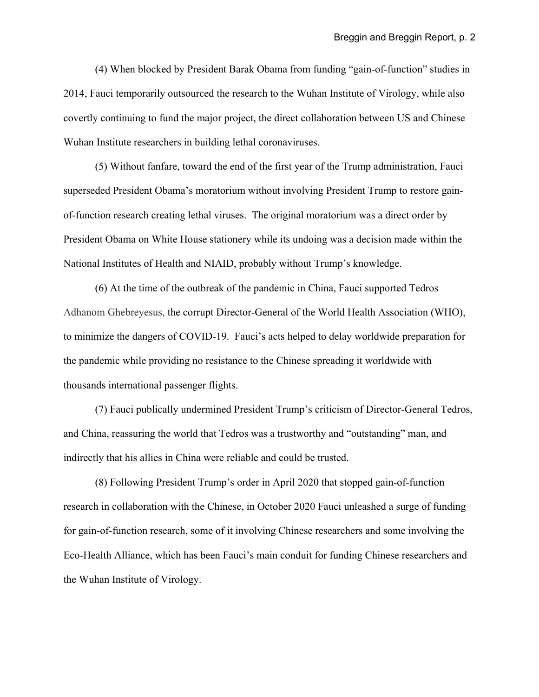(4) When blocked by President Barak Obama from funding "gain-of-function" studies in 2014, Fauci temporarily outsourced the research to the Wuhan Institute of Virology, while also covertly continuing to fund the major project, the direct collaboration between US and Chinese Wuhan Institute researchers in building lethal coronaviruses.

(5) Without fanfare, toward the end of the first year of the Trump administration, Fauci superseded President Obama's moratorium without involving President Trump to restore gainof-function research creating lethal viruses. The original moratorium was a direct order by President Obama on White House stationery while its undoing was a decision made within the National Institutes of Health and NIAID, probably without Trump's knowledge.

(6) At the time of the outbreak of the pandemic in China, Fauci supported Tedros Adhanom Ghebreyesus, the corrupt Director-General of the World Health Association (WHO), to minimize the dangers of COVID-19. Fauci's acts helped to delay worldwide preparation for the pandemic while providing no resistance to the Chinese spreading it worldwide with thousands international passenger flights.

(7) Fauci publically undermined President Trump's criticism of Director-General Tedros, and China, reassuring the world that Tedros was a trustworthy and "outstanding" man, and indirectly that his allies in China were reliable and could be trusted.

(8) Following President Trump's order in April 2020 that stopped gain-of-function research in collaboration with the Chinese, in October 2020 Fauci unleashed a surge of funding for gain-of-function research, some of it involving Chinese researchers and some involving the Eco-Health Alliance, which has been Fauci's main conduit for funding Chinese researchers and the Wuhan Institute of Virology.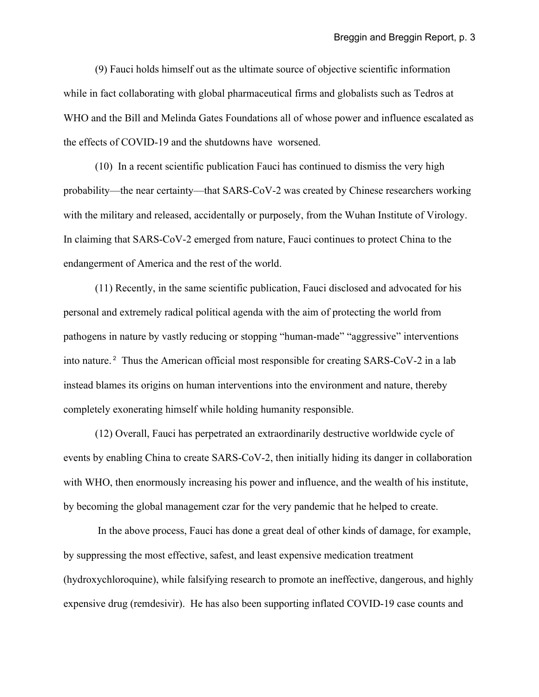(9) Fauci holds himself out as the ultimate source of objective scientific information while in fact collaborating with global pharmaceutical firms and globalists such as Tedros at WHO and the Bill and Melinda Gates Foundations all of whose power and influence escalated as the effects of COVID-19 and the shutdowns have worsened.

(10) In a recent scientific publication Fauci has continued to dismiss the very high probability—the near certainty—that SARS-CoV-2 was created by Chinese researchers working with the military and released, accidentally or purposely, from the Wuhan Institute of Virology. In claiming that SARS-CoV-2 emerged from nature, Fauci continues to protect China to the endangerment of America and the rest of the world.

(11) Recently, in the same scientific publication, Fauci disclosed and advocated for his personal and extremely radical political agenda with the aim of protecting the world from pathogens in nature by vastly reducing or stopping "human-made" "aggressive" interventions into nature.<sup>[2](#page-42-1)</sup> Thus the American official most responsible for creating SARS-CoV-2 in a lab instead blames its origins on human interventions into the environment and nature, thereby completely exonerating himself while holding humanity responsible.

(12) Overall, Fauci has perpetrated an extraordinarily destructive worldwide cycle of events by enabling China to create SARS-CoV-2, then initially hiding its danger in collaboration with WHO, then enormously increasing his power and influence, and the wealth of his institute, by becoming the global management czar for the very pandemic that he helped to create.

 In the above process, Fauci has done a great deal of other kinds of damage, for example, by suppressing the most effective, safest, and least expensive medication treatment (hydroxychloroquine), while falsifying research to promote an ineffective, dangerous, and highly expensive drug (remdesivir). He has also been supporting inflated COVID-19 case counts and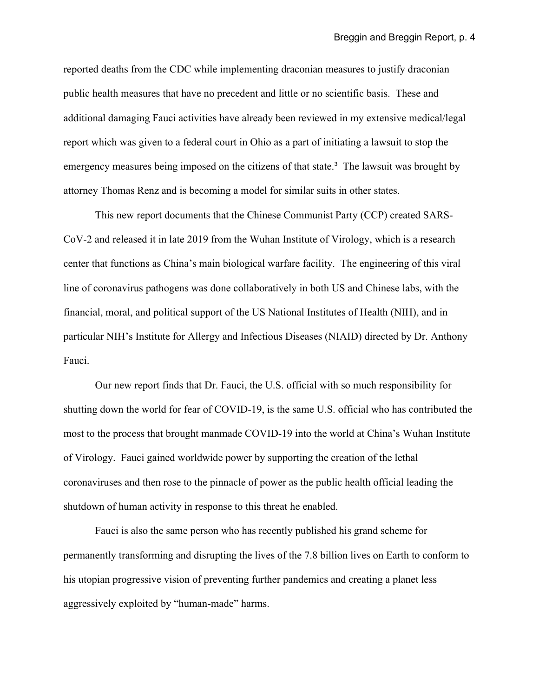reported deaths from the CDC while implementing draconian measures to justify draconian public health measures that have no precedent and little or no scientific basis. These and additional damaging Fauci activities have already been reviewed in my extensive medical/legal report which was given to a federal court in Ohio as a part of initiating a lawsuit to stop the emergency measures being imposed on the citizens of that state.<sup>[3](#page-42-2)</sup> The lawsuit was brought by attorney Thomas Renz and is becoming a model for similar suits in other states.

This new report documents that the Chinese Communist Party (CCP) created SARS-CoV-2 and released it in late 2019 from the Wuhan Institute of Virology, which is a research center that functions as China's main biological warfare facility. The engineering of this viral line of coronavirus pathogens was done collaboratively in both US and Chinese labs, with the financial, moral, and political support of the US National Institutes of Health (NIH), and in particular NIH's Institute for Allergy and Infectious Diseases (NIAID) directed by Dr. Anthony Fauci.

Our new report finds that Dr. Fauci, the U.S. official with so much responsibility for shutting down the world for fear of COVID-19, is the same U.S. official who has contributed the most to the process that brought manmade COVID-19 into the world at China's Wuhan Institute of Virology. Fauci gained worldwide power by supporting the creation of the lethal coronaviruses and then rose to the pinnacle of power as the public health official leading the shutdown of human activity in response to this threat he enabled.

Fauci is also the same person who has recently published his grand scheme for permanently transforming and disrupting the lives of the 7.8 billion lives on Earth to conform to his utopian progressive vision of preventing further pandemics and creating a planet less aggressively exploited by "human-made" harms.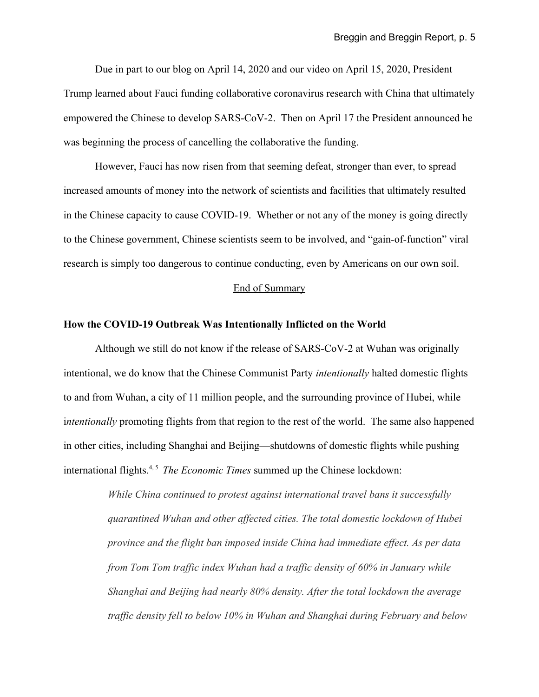Due in part to our blog on April 14, 2020 and our video on April 15, 2020, President Trump learned about Fauci funding collaborative coronavirus research with China that ultimately empowered the Chinese to develop SARS-CoV-2. Then on April 17 the President announced he was beginning the process of cancelling the collaborative the funding.

However, Fauci has now risen from that seeming defeat, stronger than ever, to spread increased amounts of money into the network of scientists and facilities that ultimately resulted in the Chinese capacity to cause COVID-19. Whether or not any of the money is going directly to the Chinese government, Chinese scientists seem to be involved, and "gain-of-function" viral research is simply too dangerous to continue conducting, even by Americans on our own soil.

# End of Summary

# **How the COVID-19 Outbreak Was Intentionally Inflicted on the World**

Although we still do not know if the release of SARS-CoV-2 at Wuhan was originally intentional, we do know that the Chinese Communist Party *intentionally* halted domestic flights to and from Wuhan, a city of 11 million people, and the surrounding province of Hubei, while i*ntentionally* promoting flights from that region to the rest of the world. The same also happened in other cities, including Shanghai and Beijing—shutdowns of domestic flights while pushing international flights.<sup>[4,](#page-42-3) [5](#page-42-4)</sup> *The Economic Times* summed up the Chinese lockdown:

> *While China continued to protest against international travel bans it successfully quarantined Wuhan and other affected cities. The total domestic lockdown of Hubei province and the flight ban imposed inside China had immediate effect. As per data from Tom Tom traffic index Wuhan had a traffic density of 60% in January while Shanghai and Beijing had nearly 80% density. After the total lockdown the average traffic density fell to below 10% in Wuhan and Shanghai during February and below*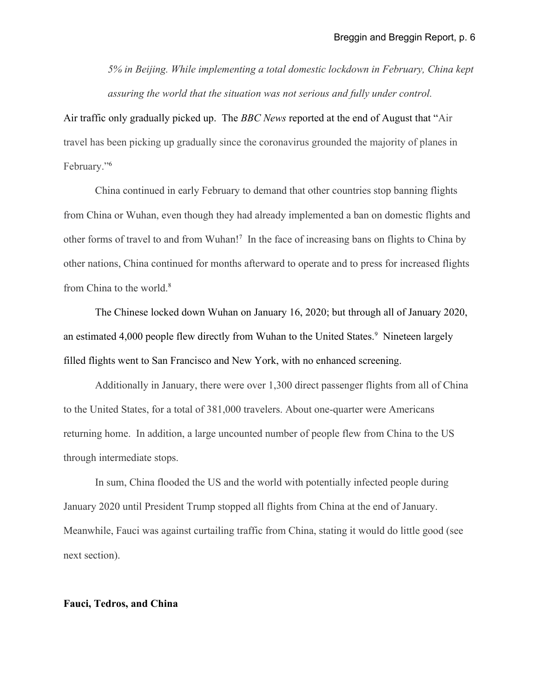*5% in Beijing. While implementing a total domestic lockdown in February, China kept assuring the world that the situation was not serious and fully under control.*

Air traffic only gradually picked up. The *BBC News* reported at the end of August that "Air travel has been picking up gradually since the coronavirus grounded the majority of planes in February."[6](#page-42-5)

China continued in early February to demand that other countries stop banning flights from China or Wuhan, even though they had already implemented a ban on domestic flights and other forms of travel to and from Wuhan!<sup>[7](#page-42-6)</sup> In the face of increasing bans on flights to China by other nations, China continued for months afterward to operate and to press for increased flights from China to the world.<sup>[8](#page-42-7)</sup>

The Chinese locked down Wuhan on January 16, 2020; but through all of January 2020, an estimated 4,000 people flew directly from Wuhan to the United States.<sup>[9](#page-42-8)</sup> Nineteen largely filled flights went to San Francisco and New York, with no enhanced screening.

Additionally in January, there were over 1,300 direct passenger flights from all of China to the United States, for a total of 381,000 travelers. About one-quarter were Americans returning home. In addition, a large uncounted number of people flew from China to the US through intermediate stops.

In sum, China flooded the US and the world with potentially infected people during January 2020 until President Trump stopped all flights from China at the end of January. Meanwhile, Fauci was against curtailing traffic from China, stating it would do little good (see next section).

# **Fauci, Tedros, and China**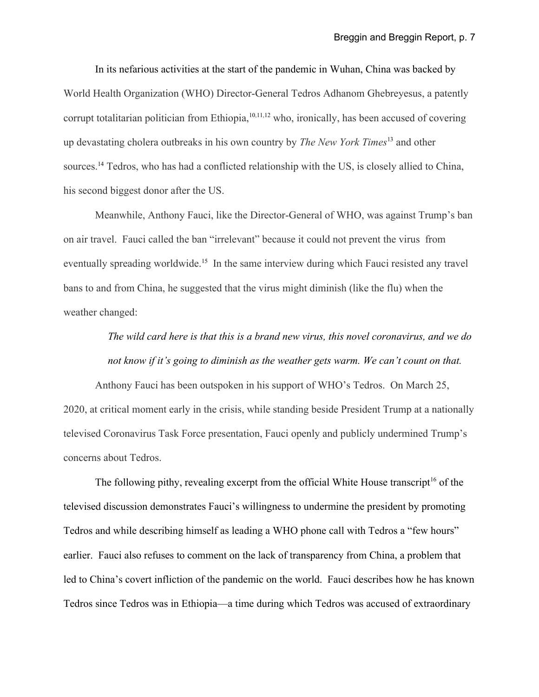In its nefarious activities at the start of the pandemic in Wuhan, China was backed by World Health Organization (WHO) Director-General Tedros Adhanom Ghebreyesus, a patently corrupt totalitarian politician from Ethiopia,  $10,11,12$  $10,11,12$  $10,11,12$  who, ironically, has been accused of covering up devastating cholera outbreaks in his own country by *The New York Times*[13](#page-42-12) and other sources.<sup>[14](#page-42-13)</sup> Tedros, who has had a conflicted relationship with the US, is closely allied to China, his second biggest donor after the US.

Meanwhile, Anthony Fauci, like the Director-General of WHO, was against Trump's ban on air travel. Fauci called the ban "irrelevant" because it could not prevent the virus from eventually spreading worldwide.<sup>[15](#page-42-14)</sup> In the same interview during which Fauci resisted any travel bans to and from China, he suggested that the virus might diminish (like the flu) when the weather changed:

# *The wild card here is that this is a brand new virus, this novel coronavirus, and we do not know if it's going to diminish as the weather gets warm. We can't count on that.*

Anthony Fauci has been outspoken in his support of WHO's Tedros. On March 25, 2020, at critical moment early in the crisis, while standing beside President Trump at a nationally televised Coronavirus Task Force presentation, Fauci openly and publicly undermined Trump's concerns about Tedros.

The following pithy, revealing excerpt from the official White House transcript<sup>[16](#page-42-15)</sup> of the televised discussion demonstrates Fauci's willingness to undermine the president by promoting Tedros and while describing himself as leading a WHO phone call with Tedros a "few hours" earlier. Fauci also refuses to comment on the lack of transparency from China, a problem that led to China's covert infliction of the pandemic on the world. Fauci describes how he has known Tedros since Tedros was in Ethiopia—a time during which Tedros was accused of extraordinary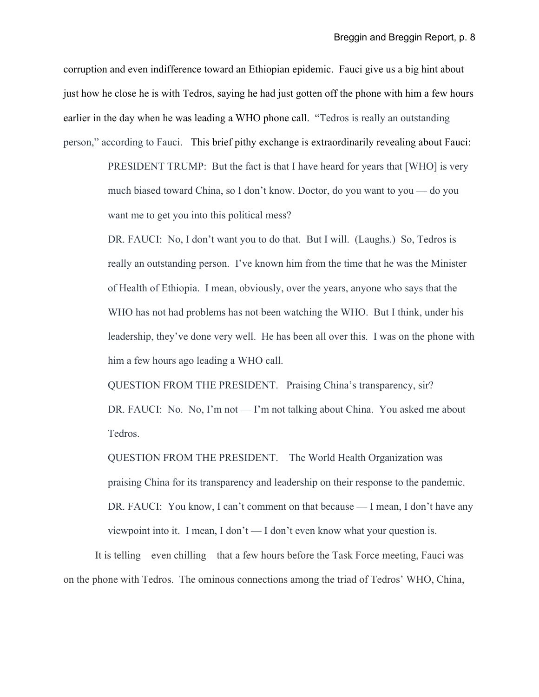corruption and even indifference toward an Ethiopian epidemic. Fauci give us a big hint about just how he close he is with Tedros, saying he had just gotten off the phone with him a few hours earlier in the day when he was leading a WHO phone call. "Tedros is really an outstanding person," according to Fauci. This brief pithy exchange is extraordinarily revealing about Fauci:

> PRESIDENT TRUMP: But the fact is that I have heard for years that [WHO] is very much biased toward China, so I don't know. Doctor, do you want to you — do you want me to get you into this political mess?

DR. FAUCI: No, I don't want you to do that. But I will. (Laughs.) So, Tedros is really an outstanding person. I've known him from the time that he was the Minister of Health of Ethiopia. I mean, obviously, over the years, anyone who says that the WHO has not had problems has not been watching the WHO. But I think, under his leadership, they've done very well. He has been all over this. I was on the phone with him a few hours ago leading a WHO call.

QUESTION FROM THE PRESIDENT. Praising China's transparency, sir? DR. FAUCI: No. No, I'm not — I'm not talking about China. You asked me about Tedros.

QUESTION FROM THE PRESIDENT. The World Health Organization was praising China for its transparency and leadership on their response to the pandemic. DR. FAUCI: You know, I can't comment on that because — I mean, I don't have any viewpoint into it. I mean, I don't — I don't even know what your question is.

It is telling—even chilling—that a few hours before the Task Force meeting, Fauci was on the phone with Tedros. The ominous connections among the triad of Tedros' WHO, China,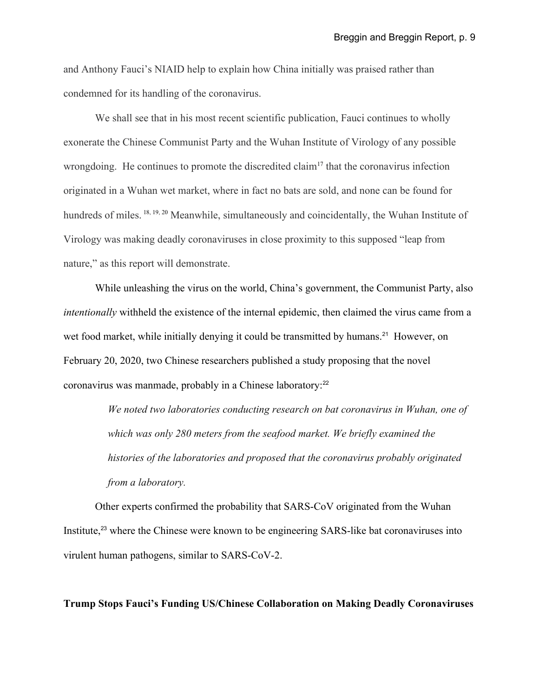and Anthony Fauci's NIAID help to explain how China initially was praised rather than condemned for its handling of the coronavirus.

We shall see that in his most recent scientific publication, Fauci continues to wholly exonerate the Chinese Communist Party and the Wuhan Institute of Virology of any possible wrongdoing. He continues to promote the discredited claim<sup>[17](#page-42-16)</sup> that the coronavirus infection originated in a Wuhan wet market, where in fact no bats are sold, and none can be found for hundreds of miles. <sup>[18,](#page-42-17) [19,](#page-43-0) [20](#page-43-1)</sup> Meanwhile, simultaneously and coincidentally, the Wuhan Institute of Virology was making deadly coronaviruses in close proximity to this supposed "leap from nature," as this report will demonstrate.

While unleashing the virus on the world, China's government, the Communist Party, also *intentionally* withheld the existence of the internal epidemic, then claimed the virus came from a wet food market, while initially denying it could be transmitted by humans.<sup>[21](#page-43-2)</sup> However, on February 20, 2020, two Chinese researchers published a study proposing that the novel coronavirus was manmade, probably in a Chinese laboratory:<sup>[22](#page-43-3)</sup>

> *We noted two laboratories conducting research on bat coronavirus in Wuhan, one of which was only 280 meters from the seafood market. We briefly examined the histories of the laboratories and proposed that the coronavirus probably originated from a laboratory.*

Other experts confirmed the probability that SARS-CoV originated from the Wuhan Institute,<sup>[23](#page-43-4)</sup> where the Chinese were known to be engineering SARS-like bat coronaviruses into virulent human pathogens, similar to SARS-CoV-2.

**Trump Stops Fauci's Funding US/Chinese Collaboration on Making Deadly Coronaviruses**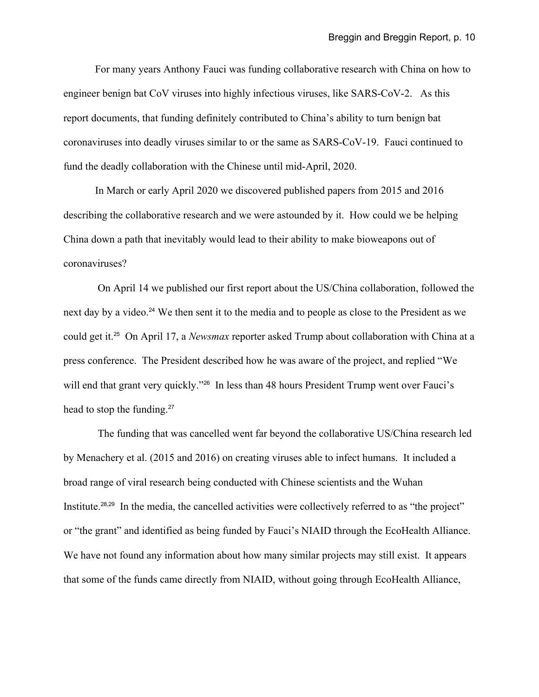For many years Anthony Fauci was funding collaborative research with China on how to engineer benign bat CoV viruses into highly infectious viruses, like SARS-CoV-2. As this report documents, that funding definitely contributed to China's ability to turn benign bat coronaviruses into deadly viruses similar to or the same as SARS-CoV-19. Fauci continued to fund the deadly collaboration with the Chinese until mid-April, 2020.

In March or early April 2020 we discovered published papers from 2015 and 2016 describing the collaborative research and we were astounded by it. How could we be helping China down a path that inevitably would lead to their ability to make bioweapons out of coronaviruses?

 On April 14 we published our first report about the US/China collaboration, followed the next day by a video.<sup>[24](#page-43-5)</sup> We then sent it to the media and to people as close to the President as we could get it.[25](#page-43-6) On April 17, a *Newsmax* reporter asked Trump about collaboration with China at a press conference. The President described how he was aware of the project, and replied "We will end that grant very quickly."<sup>[26](#page-43-7)</sup> In less than 48 hours President Trump went over Fauci's head to stop the funding.<sup>[27](#page-43-8)</sup>

The funding that was cancelled went far beyond the collaborative US/China research led by Menachery et al. (2015 and 2016) on creating viruses able to infect humans. It included a broad range of viral research being conducted with Chinese scientists and the Wuhan Institute.<sup>[28](#page-43-9),[29](#page-43-10)</sup> In the media, the cancelled activities were collectively referred to as "the project" or "the grant" and identified as being funded by Fauci's NIAID through the EcoHealth Alliance. We have not found any information about how many similar projects may still exist. It appears that some of the funds came directly from NIAID, without going through EcoHealth Alliance,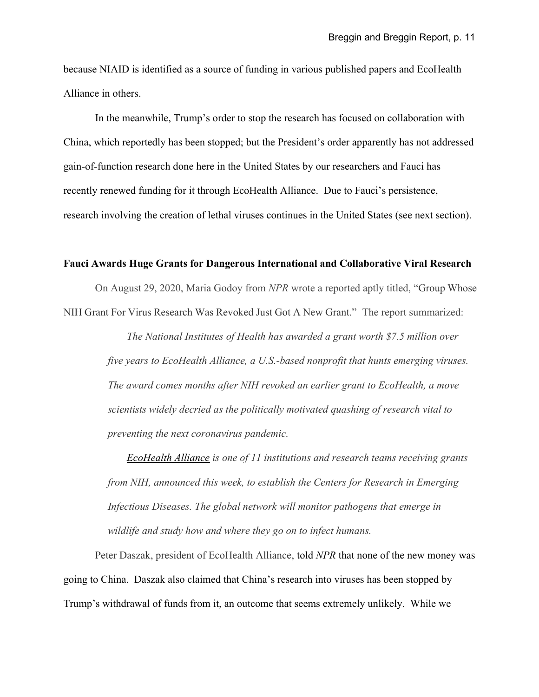because NIAID is identified as a source of funding in various published papers and EcoHealth Alliance in others.

In the meanwhile, Trump's order to stop the research has focused on collaboration with China, which reportedly has been stopped; but the President's order apparently has not addressed gain-of-function research done here in the United States by our researchers and Fauci has recently renewed funding for it through EcoHealth Alliance. Due to Fauci's persistence, research involving the creation of lethal viruses continues in the United States (see next section).

# **Fauci Awards Huge Grants for Dangerous International and Collaborative Viral Research**

On August 29, 2020, Maria Godoy from *NPR* wrote a reported aptly titled, "Group Whose NIH Grant For Virus Research Was Revoked Just Got A New Grant." The report summarized:

> *The National Institutes of Health has awarded a grant worth \$7.5 million over five years to EcoHealth Alliance, a U.S.-based nonprofit that hunts emerging viruses. The award comes months after NIH revoked an earlier grant to EcoHealth, a move scientists widely decried as the politically motivated quashing of research vital to preventing the next coronavirus pandemic.*

> *[EcoHealth Alliance](https://www.ecohealthalliance.org/) is one of 11 institutions and research teams receiving grants from NIH, announced this week, to establish the Centers for Research in Emerging Infectious Diseases. The global network will monitor pathogens that emerge in wildlife and study how and where they go on to infect humans.*

Peter Daszak, president of EcoHealth Alliance, told *NPR* that none of the new money was going to China. Daszak also claimed that China's research into viruses has been stopped by Trump's withdrawal of funds from it, an outcome that seems extremely unlikely. While we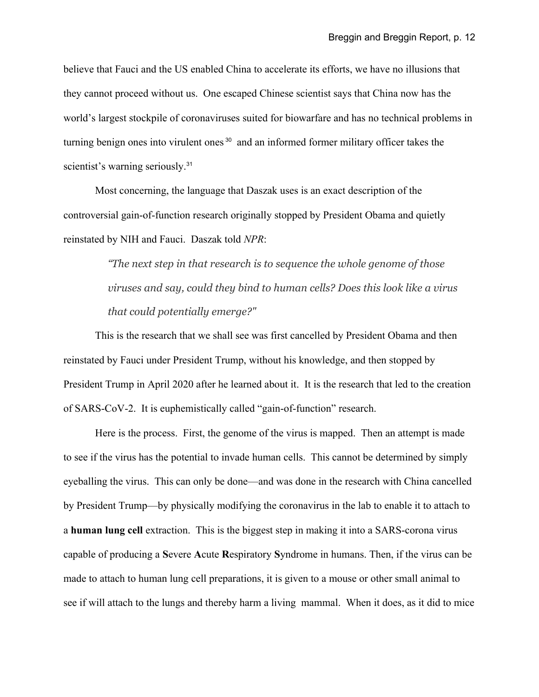believe that Fauci and the US enabled China to accelerate its efforts, we have no illusions that they cannot proceed without us. One escaped Chinese scientist says that China now has the world's largest stockpile of coronaviruses suited for biowarfare and has no technical problems in turning benign ones into virulent ones [30](#page-43-11) and an informed former military officer takes the scientist's warning seriously.<sup>[31](#page-43-12)</sup>

Most concerning, the language that Daszak uses is an exact description of the controversial gain-of-function research originally stopped by President Obama and quietly reinstated by NIH and Fauci. Daszak told *NPR*:

> *"The next step in that research is to sequence the whole genome of those viruses and say, could they bind to human cells? Does this look like a virus that could potentially emerge?"*

This is the research that we shall see was first cancelled by President Obama and then reinstated by Fauci under President Trump, without his knowledge, and then stopped by President Trump in April 2020 after he learned about it. It is the research that led to the creation of SARS-CoV-2. It is euphemistically called "gain-of-function" research.

Here is the process. First, the genome of the virus is mapped. Then an attempt is made to see if the virus has the potential to invade human cells. This cannot be determined by simply eyeballing the virus. This can only be done—and was done in the research with China cancelled by President Trump—by physically modifying the coronavirus in the lab to enable it to attach to a **human lung cell** extraction. This is the biggest step in making it into a SARS-corona virus capable of producing a **S**evere **A**cute **R**espiratory **S**yndrome in humans. Then, if the virus can be made to attach to human lung cell preparations, it is given to a mouse or other small animal to see if will attach to the lungs and thereby harm a living mammal. When it does, as it did to mice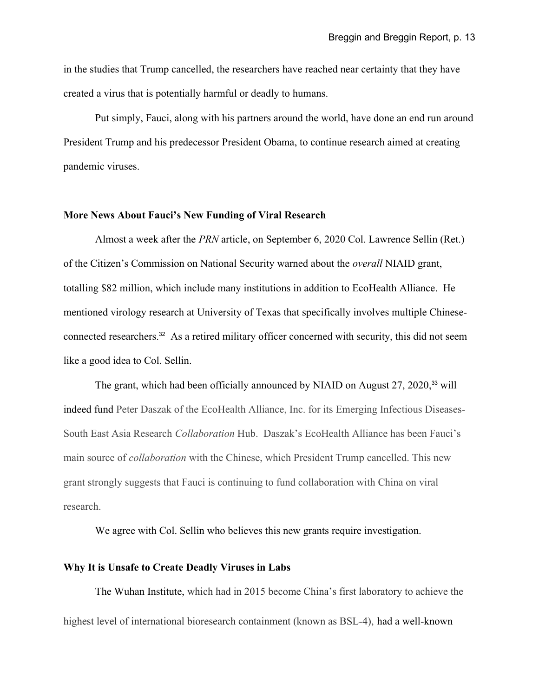in the studies that Trump cancelled, the researchers have reached near certainty that they have created a virus that is potentially harmful or deadly to humans.

Put simply, Fauci, along with his partners around the world, have done an end run around President Trump and his predecessor President Obama, to continue research aimed at creating pandemic viruses.

# **More News About Fauci's New Funding of Viral Research**

Almost a week after the *PRN* article, on September 6, 2020 Col. Lawrence Sellin (Ret.) of the Citizen's Commission on National Security warned about the *overall* NIAID grant, totalling \$82 million, which include many institutions in addition to EcoHealth Alliance. He mentioned virology research at University of Texas that specifically involves multiple Chineseconnected researchers.[32](#page-43-13) As a retired military officer concerned with security, this did not seem like a good idea to Col. Sellin.

The grant, which had been officially announced by NIAID on August 27, 2020,<sup>[33](#page-43-14)</sup> will indeed fund Peter Daszak of the EcoHealth Alliance, Inc. for its Emerging Infectious Diseases-South East Asia Research *Collaboration* Hub. Daszak's EcoHealth Alliance has been Fauci's main source of *collaboration* with the Chinese, which President Trump cancelled. This new grant strongly suggests that Fauci is continuing to fund collaboration with China on viral research.

We agree with Col. Sellin who believes this new grants require investigation.

# **Why It is Unsafe to Create Deadly Viruses in Labs**

The Wuhan Institute, which had in 2015 become China's first laboratory to achieve the highest level of international bioresearch containment (known as BSL-4), had a well-known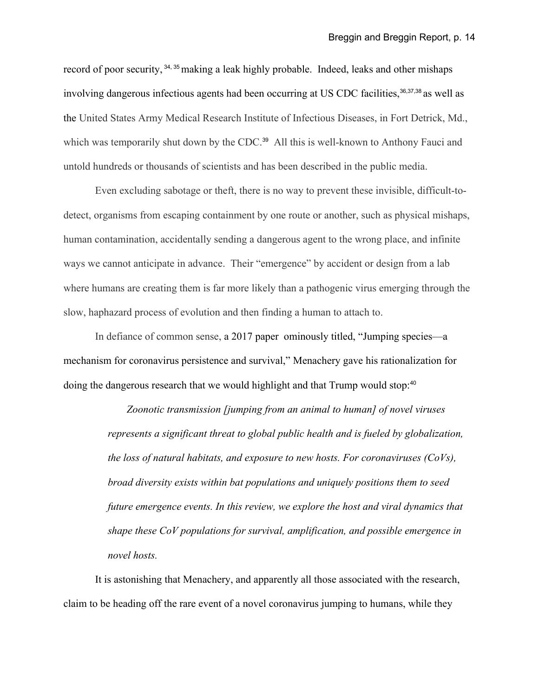record of poor security, <sup>[34](#page-43-15), [35](#page-43-16)</sup> making a leak highly probable. Indeed, leaks and other mishaps involving dangerous infectious agents had been occurring at US CDC facilities,<sup>[36](#page-43-17),[37](#page-43-18),[38](#page-43-19)</sup> as well as the United States Army Medical Research Institute of Infectious Diseases, in Fort Detrick, Md., which was temporarily shut down by the CDC.<sup>[39](#page-44-0)</sup> All this is well-known to Anthony Fauci and untold hundreds or thousands of scientists and has been described in the public media.

Even excluding sabotage or theft, there is no way to prevent these invisible, difficult-todetect, organisms from escaping containment by one route or another, such as physical mishaps, human contamination, accidentally sending a dangerous agent to the wrong place, and infinite ways we cannot anticipate in advance. Their "emergence" by accident or design from a lab where humans are creating them is far more likely than a pathogenic virus emerging through the slow, haphazard process of evolution and then finding a human to attach to.

In defiance of common sense, a 2017 paper ominously titled, "Jumping species—a mechanism for coronavirus persistence and survival," Menachery gave his rationalization for doing the dangerous research that we would highlight and that Trump would stop:<sup>[40](#page-44-1)</sup>

> *Zoonotic transmission [jumping from an animal to human] of novel viruses represents a significant threat to global public health and is fueled by globalization, the loss of natural habitats, and exposure to new hosts. For coronaviruses (CoVs), broad diversity exists within bat populations and uniquely positions them to seed future emergence events. In this review, we explore the host and viral dynamics that shape these CoV populations for survival, amplification, and possible emergence in novel hosts.*

It is astonishing that Menachery, and apparently all those associated with the research, claim to be heading off the rare event of a novel coronavirus jumping to humans, while they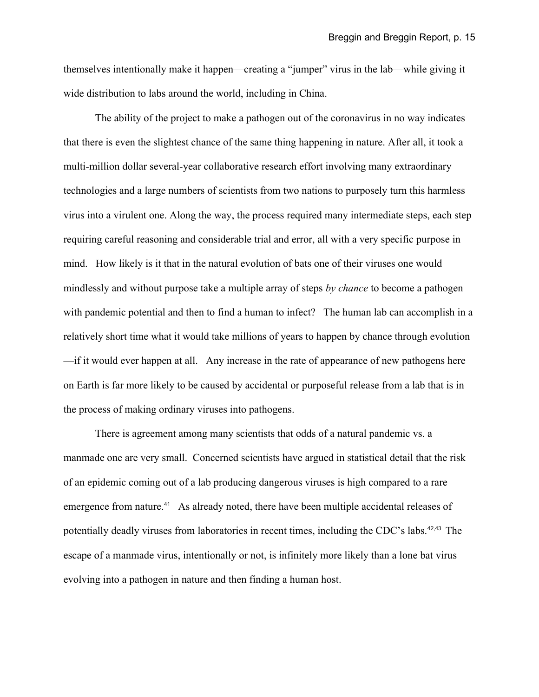themselves intentionally make it happen—creating a "jumper" virus in the lab—while giving it wide distribution to labs around the world, including in China.

The ability of the project to make a pathogen out of the coronavirus in no way indicates that there is even the slightest chance of the same thing happening in nature. After all, it took a multi-million dollar several-year collaborative research effort involving many extraordinary technologies and a large numbers of scientists from two nations to purposely turn this harmless virus into a virulent one. Along the way, the process required many intermediate steps, each step requiring careful reasoning and considerable trial and error, all with a very specific purpose in mind. How likely is it that in the natural evolution of bats one of their viruses one would mindlessly and without purpose take a multiple array of steps *by chance* to become a pathogen with pandemic potential and then to find a human to infect? The human lab can accomplish in a relatively short time what it would take millions of years to happen by chance through evolution —if it would ever happen at all. Any increase in the rate of appearance of new pathogens here on Earth is far more likely to be caused by accidental or purposeful release from a lab that is in the process of making ordinary viruses into pathogens.

There is agreement among many scientists that odds of a natural pandemic vs. a manmade one are very small. Concerned scientists have argued in statistical detail that the risk of an epidemic coming out of a lab producing dangerous viruses is high compared to a rare emergence from nature.<sup>[41](#page-44-2)</sup> As already noted, there have been multiple accidental releases of potentially deadly viruses from laboratories in recent times, including the CDC's labs.<sup>[42](#page-44-3),[43](#page-44-4)</sup> The escape of a manmade virus, intentionally or not, is infinitely more likely than a lone bat virus evolving into a pathogen in nature and then finding a human host.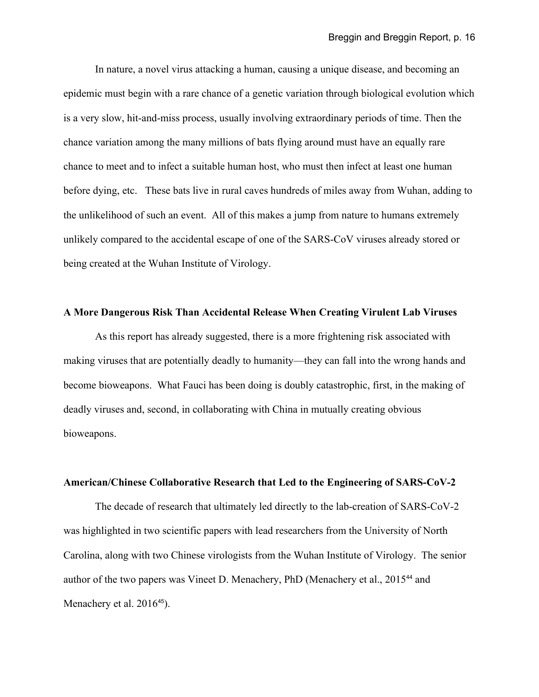In nature, a novel virus attacking a human, causing a unique disease, and becoming an epidemic must begin with a rare chance of a genetic variation through biological evolution which is a very slow, hit-and-miss process, usually involving extraordinary periods of time. Then the chance variation among the many millions of bats flying around must have an equally rare chance to meet and to infect a suitable human host, who must then infect at least one human before dying, etc. These bats live in rural caves hundreds of miles away from Wuhan, adding to the unlikelihood of such an event. All of this makes a jump from nature to humans extremely unlikely compared to the accidental escape of one of the SARS-CoV viruses already stored or being created at the Wuhan Institute of Virology.

### **A More Dangerous Risk Than Accidental Release When Creating Virulent Lab Viruses**

As this report has already suggested, there is a more frightening risk associated with making viruses that are potentially deadly to humanity—they can fall into the wrong hands and become bioweapons. What Fauci has been doing is doubly catastrophic, first, in the making of deadly viruses and, second, in collaborating with China in mutually creating obvious bioweapons.

### **American/Chinese Collaborative Research that Led to the Engineering of SARS-CoV-2**

The decade of research that ultimately led directly to the lab-creation of SARS-CoV-2 was highlighted in two scientific papers with lead researchers from the University of North Carolina, along with two Chinese virologists from the Wuhan Institute of Virology. The senior author of the two papers was Vineet D. Menachery, PhD (Menachery et al., 2015<sup>[44](#page-44-5)</sup> and Menachery et al. 2016<sup>[45](#page-44-6)</sup>).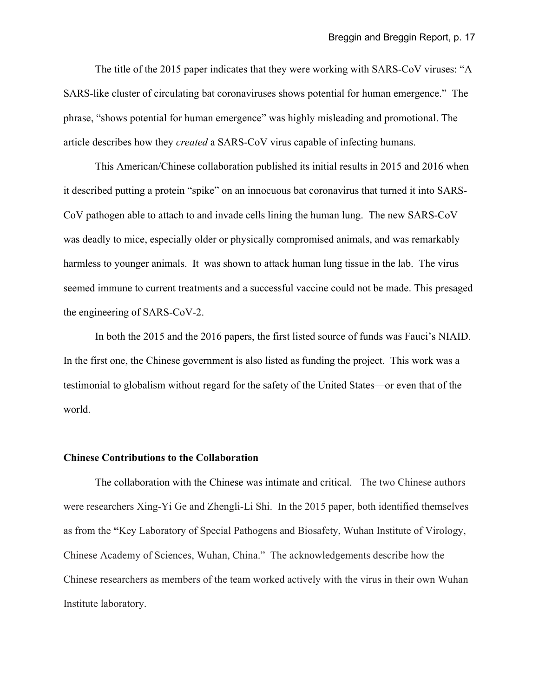The title of the 2015 paper indicates that they were working with SARS-CoV viruses: "A SARS-like cluster of circulating bat coronaviruses shows potential for human emergence." The phrase, "shows potential for human emergence" was highly misleading and promotional. The article describes how they *created* a SARS-CoV virus capable of infecting humans.

This American/Chinese collaboration published its initial results in 2015 and 2016 when it described putting a protein "spike" on an innocuous bat coronavirus that turned it into SARS-CoV pathogen able to attach to and invade cells lining the human lung. The new SARS-CoV was deadly to mice, especially older or physically compromised animals, and was remarkably harmless to younger animals. It was shown to attack human lung tissue in the lab. The virus seemed immune to current treatments and a successful vaccine could not be made. This presaged the engineering of SARS-CoV-2.

In both the 2015 and the 2016 papers, the first listed source of funds was Fauci's NIAID. In the first one, the Chinese government is also listed as funding the project. This work was a testimonial to globalism without regard for the safety of the United States—or even that of the world.

# **Chinese Contributions to the Collaboration**

The collaboration with the Chinese was intimate and critical. The two Chinese authors were researchers Xing-Yi Ge and Zhengli-Li Shi. In the 2015 paper, both identified themselves as from the **"**Key Laboratory of Special Pathogens and Biosafety, Wuhan Institute of Virology, Chinese Academy of Sciences, Wuhan, China." The acknowledgements describe how the Chinese researchers as members of the team worked actively with the virus in their own Wuhan Institute laboratory.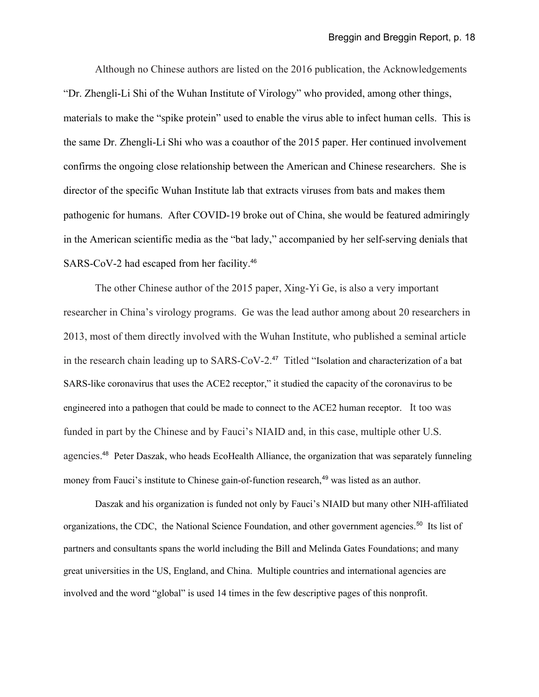Although no Chinese authors are listed on the 2016 publication, the Acknowledgements "Dr. Zhengli-Li Shi of the Wuhan Institute of Virology" who provided, among other things, materials to make the "spike protein" used to enable the virus able to infect human cells. This is the same Dr. Zhengli-Li Shi who was a coauthor of the 2015 paper. Her continued involvement confirms the ongoing close relationship between the American and Chinese researchers. She is director of the specific Wuhan Institute lab that extracts viruses from bats and makes them pathogenic for humans. After COVID-19 broke out of China, she would be featured admiringly in the American scientific media as the "bat lady," accompanied by her self-serving denials that SARS-CoV-2 had escaped from her facility.<sup>[46](#page-44-7)</sup>

The other Chinese author of the 2015 paper, Xing-Yi Ge, is also a very important researcher in China's virology programs. Ge was the lead author among about 20 researchers in 2013, most of them directly involved with the Wuhan Institute, who published a seminal article in the research chain leading up to SARS-CoV-2.<sup>[47](#page-44-8)</sup> Titled "Isolation and characterization of a bat SARS-like coronavirus that uses the ACE2 receptor," it studied the capacity of the coronavirus to be engineered into a pathogen that could be made to connect to the ACE2 human receptor. It too was funded in part by the Chinese and by Fauci's NIAID and, in this case, multiple other U.S. agencies.<sup>[48](#page-44-9)</sup> Peter Daszak, who heads EcoHealth Alliance, the organization that was separately funneling money from Fauci's institute to Chinese gain-of-function research,<sup>[49](#page-44-10)</sup> was listed as an author.

Daszak and his organization is funded not only by Fauci's NIAID but many other NIH-affiliated organizations, the CDC, the National Science Foundation, and other government agencies.<sup>[50](#page-44-11)</sup> Its list of partners and consultants spans the world including the Bill and Melinda Gates Foundations; and many great universities in the US, England, and China. Multiple countries and international agencies are involved and the word "global" is used 14 times in the few descriptive pages of this nonprofit.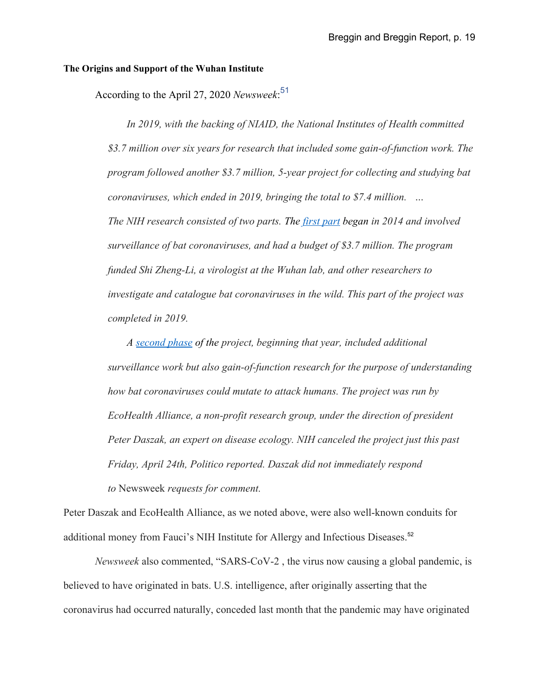## **The Origins and Support of the Wuhan Institute**

According to the April 27, 2020 *Newsweek*: [51](#page-44-12)

*In 2019, with the backing of NIAID, the National Institutes of Health committed \$3.7 million over six years for research that included some gain-of-function work. The program followed another \$3.7 million, 5-year project for collecting and studying bat coronaviruses, which ended in 2019, bringing the total to \$7.4 million. … The NIH research consisted of two parts. The [first part](https://projectreporter.nih.gov/project_info_description.cfm?aid=8674931&icde=49750546) began in 2014 and involved surveillance of bat coronaviruses, and had a budget of \$3.7 million. The program funded Shi Zheng-Li, a virologist at the Wuhan lab, and other researchers to investigate and catalogue bat coronaviruses in the wild. This part of the project was completed in 2019.*

*A [second phase](https://projectreporter.nih.gov/project_info_description.cfm?aid=9819304&icde=49645421) of the project, beginning that year, included additional surveillance work but also gain-of-function research for the purpose of understanding how bat coronaviruses could mutate to attack humans. The project was run by EcoHealth Alliance, a non-profit research group, under the direction of president Peter Daszak, an expert on disease ecology. NIH canceled the project just this past Friday, April 24th, Politico reported. Daszak did not immediately respond to* Newsweek *requests for comment.*

Peter Daszak and EcoHealth Alliance, as we noted above, were also well-known conduits for additional money from Fauci's NIH Institute for Allergy and Infectious Diseases.<sup>[52](#page-44-13)</sup>

*Newsweek* also commented, "SARS-CoV-2 , the virus now causing a global pandemic, is believed to have originated in bats. U.S. intelligence, after originally asserting that the coronavirus had occurred naturally, conceded last month that the pandemic may have originated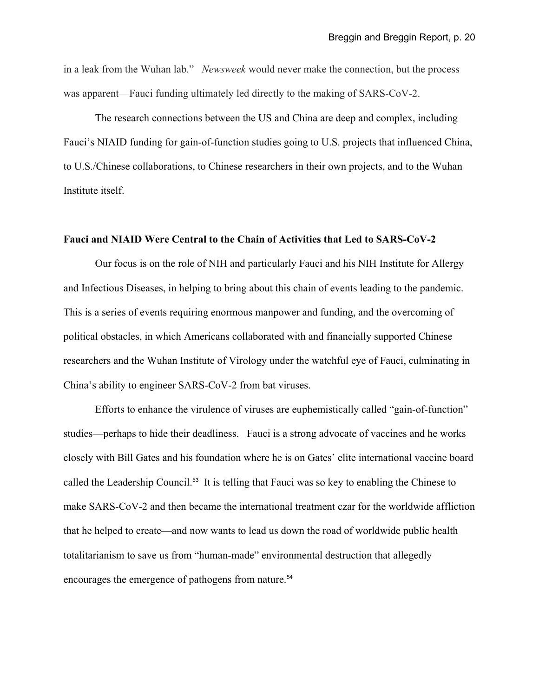in a leak from the Wuhan lab." *Newsweek* would never make the connection, but the process was apparent—Fauci funding ultimately led directly to the making of SARS-CoV-2.

The research connections between the US and China are deep and complex, including Fauci's NIAID funding for gain-of-function studies going to U.S. projects that influenced China, to U.S./Chinese collaborations, to Chinese researchers in their own projects, and to the Wuhan Institute itself.

# **Fauci and NIAID Were Central to the Chain of Activities that Led to SARS-CoV-2**

Our focus is on the role of NIH and particularly Fauci and his NIH Institute for Allergy and Infectious Diseases, in helping to bring about this chain of events leading to the pandemic. This is a series of events requiring enormous manpower and funding, and the overcoming of political obstacles, in which Americans collaborated with and financially supported Chinese researchers and the Wuhan Institute of Virology under the watchful eye of Fauci, culminating in China's ability to engineer SARS-CoV-2 from bat viruses.

Efforts to enhance the virulence of viruses are euphemistically called "gain-of-function" studies—perhaps to hide their deadliness. Fauci is a strong advocate of vaccines and he works closely with Bill Gates and his foundation where he is on Gates' elite international vaccine board called the Leadership Council.<sup>[53](#page-44-14)</sup> It is telling that Fauci was so key to enabling the Chinese to make SARS-CoV-2 and then became the international treatment czar for the worldwide affliction that he helped to create—and now wants to lead us down the road of worldwide public health totalitarianism to save us from "human-made" environmental destruction that allegedly encourages the emergence of pathogens from nature.<sup>[54](#page-45-0)</sup>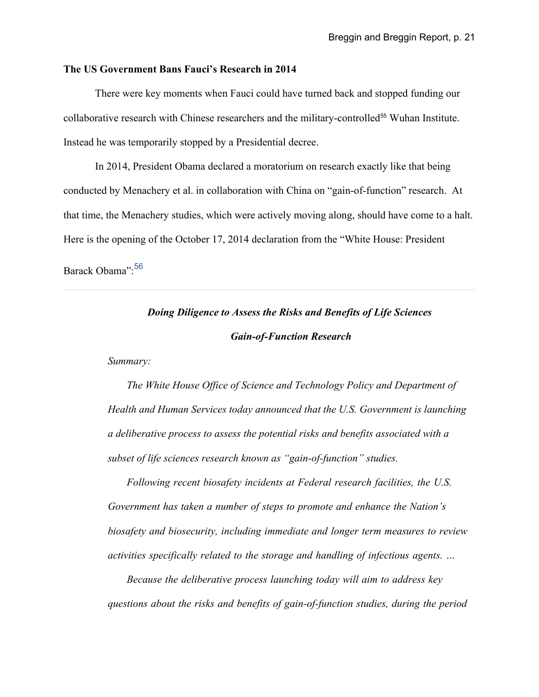# **The US Government Bans Fauci's Research in 2014**

There were key moments when Fauci could have turned back and stopped funding our collaborative research with Chinese researchers and the military-controlled<sup>[55](#page-45-1)</sup> Wuhan Institute. Instead he was temporarily stopped by a Presidential decree.

In 2014, President Obama declared a moratorium on research exactly like that being conducted by Menachery et al. in collaboration with China on "gain-of-function" research. At that time, the Menachery studies, which were actively moving along, should have come to a halt. Here is the opening of the October 17, 2014 declaration from the "White House: President

Barack Obama": [56](#page-45-2)

# *Doing Diligence to Assess the Risks and Benefits of Life Sciences Gain-of-Function Research*

*Summary:*

*The White House Office of Science and Technology Policy and Department of Health and Human Services today announced that the U.S. Government is launching a deliberative process to assess the potential risks and benefits associated with a subset of life sciences research known as "gain-of-function" studies.*

*Following recent biosafety incidents at Federal research facilities, the U.S. Government has taken a number of steps to promote and enhance the Nation's biosafety and biosecurity, including immediate and longer term measures to review activities specifically related to the storage and handling of infectious agents. …*

*Because the deliberative process launching today will aim to address key questions about the risks and benefits of gain-of-function studies, during the period*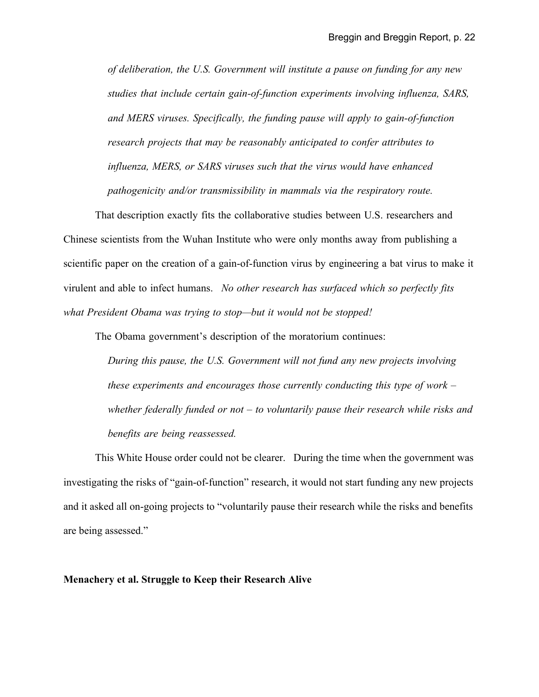*of deliberation, the U.S. Government will institute a pause on funding for any new studies that include certain gain-of-function experiments involving influenza, SARS, and MERS viruses. Specifically, the funding pause will apply to gain-of-function research projects that may be reasonably anticipated to confer attributes to influenza, MERS, or SARS viruses such that the virus would have enhanced pathogenicity and/or transmissibility in mammals via the respiratory route.*

That description exactly fits the collaborative studies between U.S. researchers and Chinese scientists from the Wuhan Institute who were only months away from publishing a scientific paper on the creation of a gain-of-function virus by engineering a bat virus to make it virulent and able to infect humans. *No other research has surfaced which so perfectly fits what President Obama was trying to stop—but it would not be stopped!*

The Obama government's description of the moratorium continues:

*During this pause, the U.S. Government will not fund any new projects involving these experiments and encourages those currently conducting this type of work – whether federally funded or not – to voluntarily pause their research while risks and benefits are being reassessed.*

This White House order could not be clearer. During the time when the government was investigating the risks of "gain-of-function" research, it would not start funding any new projects and it asked all on-going projects to "voluntarily pause their research while the risks and benefits are being assessed."

# **Menachery et al. Struggle to Keep their Research Alive**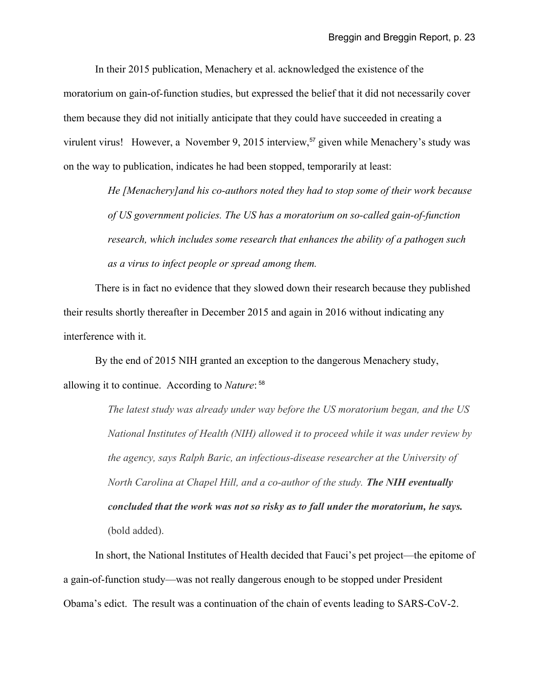In their 2015 publication, Menachery et al. acknowledged the existence of the moratorium on gain-of-function studies, but expressed the belief that it did not necessarily cover them because they did not initially anticipate that they could have succeeded in creating a virulent virus! However, a November 9, 2015 interview,<sup>[57](#page-45-3)</sup> given while Menachery's study was on the way to publication, indicates he had been stopped, temporarily at least:

> *He [Menachery]and his co-authors noted they had to stop some of their work because of US government policies. The US has a moratorium on so-called gain-of-function research, which includes some research that enhances the ability of a pathogen such as a virus to infect people or spread among them.*

There is in fact no evidence that they slowed down their research because they published their results shortly thereafter in December 2015 and again in 2016 without indicating any interference with it.

By the end of 2015 NIH granted an exception to the dangerous Menachery study, allowing it to continue. According to *Nature*: [58](#page-45-4)

> *The latest study was already under way before the US moratorium began, and the US National Institutes of Health (NIH) allowed it to proceed while it was under review by the agency, says Ralph Baric, an infectious-disease researcher at the University of North Carolina at Chapel Hill, and a co-author of the study. The NIH eventually concluded that the work was not so risky as to fall under the moratorium, he says.*  (bold added).

In short, the National Institutes of Health decided that Fauci's pet project—the epitome of a gain-of-function study—was not really dangerous enough to be stopped under President Obama's edict. The result was a continuation of the chain of events leading to SARS-CoV-2.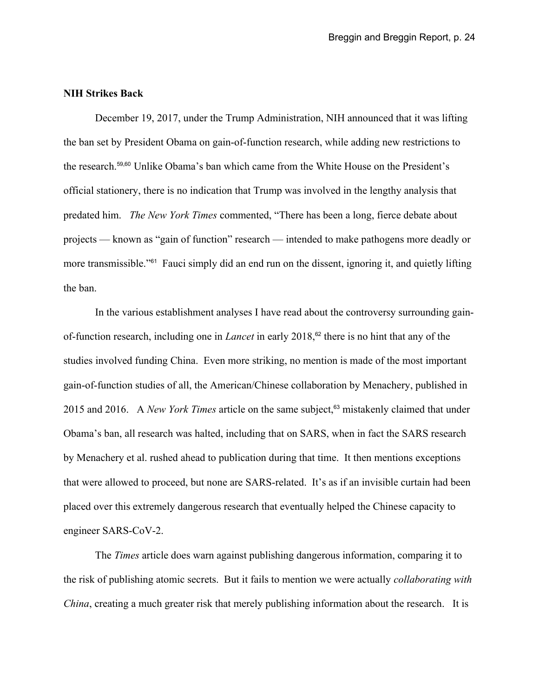# **NIH Strikes Back**

December 19, 2017, under the Trump Administration, NIH announced that it was lifting the ban set by President Obama on gain-of-function research, while adding new restrictions to the research.[59](#page-45-5),[60](#page-45-6) Unlike Obama's ban which came from the White House on the President's official stationery, there is no indication that Trump was involved in the lengthy analysis that predated him. *The New York Times* commented, "There has been a long, fierce debate about projects — known as "gain of function" research — intended to make pathogens more deadly or more transmissible."<sup>[61](#page-45-7)</sup> Fauci simply did an end run on the dissent, ignoring it, and quietly lifting the ban.

In the various establishment analyses I have read about the controversy surrounding gainof-function research, including one in *Lancet* in early 2018,<sup>[62](#page-45-8)</sup> there is no hint that any of the studies involved funding China. Even more striking, no mention is made of the most important gain-of-function studies of all, the American/Chinese collaboration by Menachery, published in 2015 and 2016. A *New York Times* article on the same subject,<sup>[63](#page-45-9)</sup> mistakenly claimed that under Obama's ban, all research was halted, including that on SARS, when in fact the SARS research by Menachery et al. rushed ahead to publication during that time. It then mentions exceptions that were allowed to proceed, but none are SARS-related. It's as if an invisible curtain had been placed over this extremely dangerous research that eventually helped the Chinese capacity to engineer SARS-CoV-2.

The *Times* article does warn against publishing dangerous information, comparing it to the risk of publishing atomic secrets. But it fails to mention we were actually *collaborating with China*, creating a much greater risk that merely publishing information about the research. It is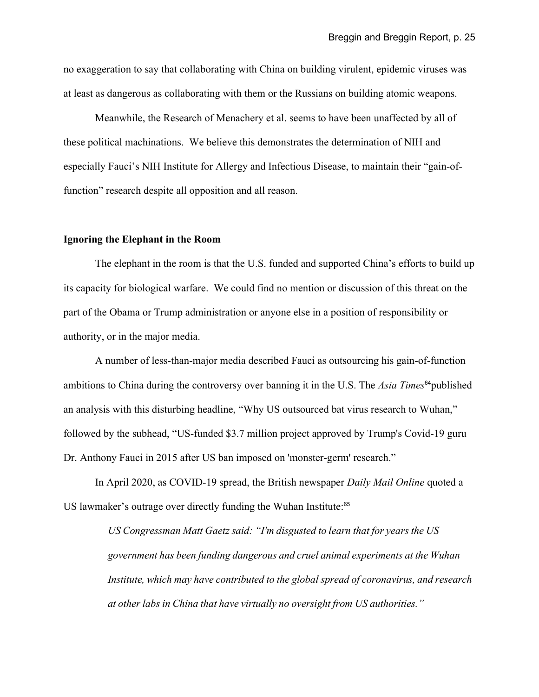no exaggeration to say that collaborating with China on building virulent, epidemic viruses was at least as dangerous as collaborating with them or the Russians on building atomic weapons.

Meanwhile, the Research of Menachery et al. seems to have been unaffected by all of these political machinations. We believe this demonstrates the determination of NIH and especially Fauci's NIH Institute for Allergy and Infectious Disease, to maintain their "gain-offunction" research despite all opposition and all reason.

# **Ignoring the Elephant in the Room**

The elephant in the room is that the U.S. funded and supported China's efforts to build up its capacity for biological warfare. We could find no mention or discussion of this threat on the part of the Obama or Trump administration or anyone else in a position of responsibility or authority, or in the major media.

A number of less-than-major media described Fauci as outsourcing his gain-of-function ambitions to China during the controversy over banning it in the U.S. The *Asia Times*<sup>[64](#page-45-10)</sup> published an analysis with this disturbing headline, "Why US outsourced bat virus research to Wuhan," followed by the subhead, "US-funded \$3.7 million project approved by Trump's Covid-19 guru Dr. Anthony Fauci in 2015 after US ban imposed on 'monster-germ' research."

In April 2020, as COVID-19 spread, the British newspaper *Daily Mail Online* quoted a US lawmaker's outrage over directly funding the Wuhan Institute:<sup>[65](#page-45-11)</sup>

> *US Congressman Matt Gaetz said: "I'm disgusted to learn that for years the US government has been funding dangerous and cruel animal experiments at the Wuhan Institute, which may have contributed to the global spread of coronavirus, and research at other labs in China that have virtually no oversight from US authorities."*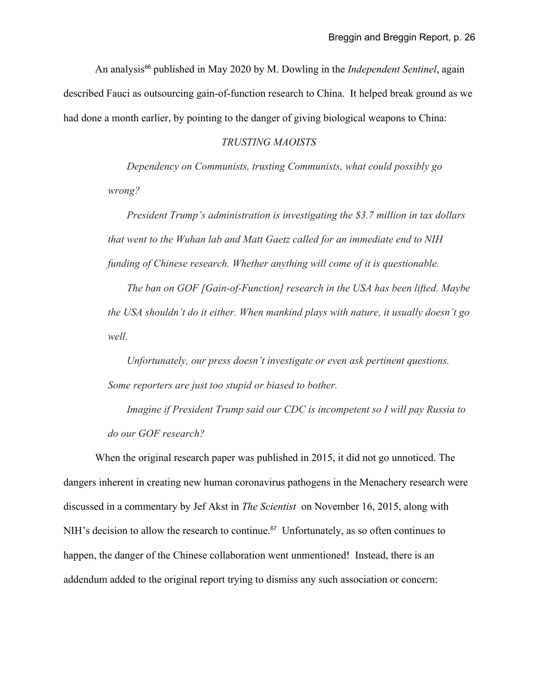An analysis<sup>[66](#page-45-12)</sup> published in May 2020 by M. Dowling in the *Independent Sentinel*, again described Fauci as outsourcing gain-of-function research to China. It helped break ground as we had done a month earlier, by pointing to the danger of giving biological weapons to China:

# *TRUSTING MAOISTS*

*Dependency on Communists, trusting Communists, what could possibly go wrong?*

*President Trump's administration is investigating the \$3.7 million in tax dollars that went to the Wuhan lab and Matt Gaetz called for an immediate end to NIH funding of Chinese research. Whether anything will come of it is questionable.*

*The ban on GOF [Gain-of-Function] research in the USA has been lifted. Maybe the USA shouldn't do it either. When mankind plays with nature, it usually doesn't go well.*

*Unfortunately, our press doesn't investigate or even ask pertinent questions. Some reporters are just too stupid or biased to bother.*

*Imagine if President Trump said our CDC is incompetent so I will pay Russia to do our GOF research?*

When the original research paper was published in 2015, it did not go unnoticed. The dangers inherent in creating new human coronavirus pathogens in the Menachery research were discussed in a commentary by Jef Akst in *The Scientist* on November 16, 2015, along with NIH's decision to allow the research to continue.<sup>[67](#page-45-13)</sup> Unfortunately, as so often continues to happen, the danger of the Chinese collaboration went unmentioned! Instead, there is an addendum added to the original report trying to dismiss any such association or concern: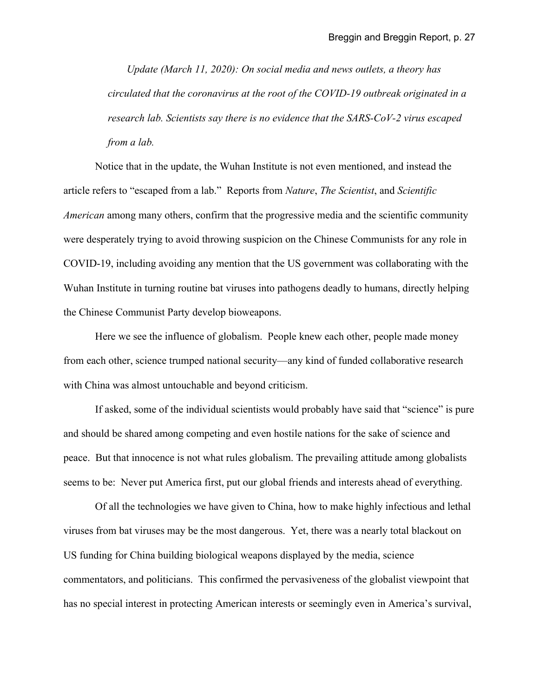*Update (March 11, 2020): On social media and news outlets, a theory has circulated that the coronavirus at the root of the COVID-19 outbreak originated in a research lab. Scientists say there is no evidence that the SARS-CoV-2 virus escaped from a lab.*

Notice that in the update, the Wuhan Institute is not even mentioned, and instead the article refers to "escaped from a lab." Reports from *Nature*, *The Scientist*, and *Scientific American* among many others, confirm that the progressive media and the scientific community were desperately trying to avoid throwing suspicion on the Chinese Communists for any role in COVID-19, including avoiding any mention that the US government was collaborating with the Wuhan Institute in turning routine bat viruses into pathogens deadly to humans, directly helping the Chinese Communist Party develop bioweapons.

Here we see the influence of globalism. People knew each other, people made money from each other, science trumped national security—any kind of funded collaborative research with China was almost untouchable and beyond criticism.

If asked, some of the individual scientists would probably have said that "science" is pure and should be shared among competing and even hostile nations for the sake of science and peace. But that innocence is not what rules globalism. The prevailing attitude among globalists seems to be: Never put America first, put our global friends and interests ahead of everything.

 Of all the technologies we have given to China, how to make highly infectious and lethal viruses from bat viruses may be the most dangerous. Yet, there was a nearly total blackout on US funding for China building biological weapons displayed by the media, science commentators, and politicians. This confirmed the pervasiveness of the globalist viewpoint that has no special interest in protecting American interests or seemingly even in America's survival,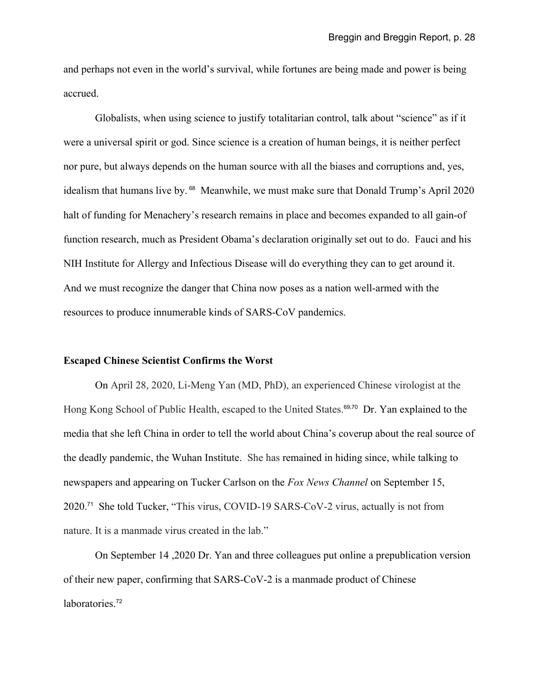and perhaps not even in the world's survival, while fortunes are being made and power is being accrued.

Globalists, when using science to justify totalitarian control, talk about "science" as if it were a universal spirit or god. Since science is a creation of human beings, it is neither perfect nor pure, but always depends on the human source with all the biases and corruptions and, yes, idealism that humans live by. <sup>[68](#page-45-14)</sup> Meanwhile, we must make sure that Donald Trump's April 2020 halt of funding for Menachery's research remains in place and becomes expanded to all gain-of function research, much as President Obama's declaration originally set out to do. Fauci and his NIH Institute for Allergy and Infectious Disease will do everything they can to get around it. And we must recognize the danger that China now poses as a nation well-armed with the resources to produce innumerable kinds of SARS-CoV pandemics.

# **Escaped Chinese Scientist Confirms the Worst**

On April 28, 2020, Li-Meng Yan (MD, PhD), an experienced Chinese virologist at the Hong Kong School of Public Health, escaped to the United States.<sup>[69](#page-45-15),[70](#page-45-16)</sup> Dr. Yan explained to the media that she left China in order to tell the world about China's coverup about the real source of the deadly pandemic, the Wuhan Institute. She has remained in hiding since, while talking to newspapers and appearing on Tucker Carlson on the *Fox News Channel* on September 15, 2020.[71](#page-45-17) She told Tucker, "This virus, COVID-19 SARS-CoV-2 virus, actually is not from nature. It is a manmade virus created in the lab."

On September 14 ,2020 Dr. Yan and three colleagues put online a prepublication version of their new paper, confirming that SARS-CoV-2 is a manmade product of Chinese laboratories.<sup>[72](#page-45-18)</sup>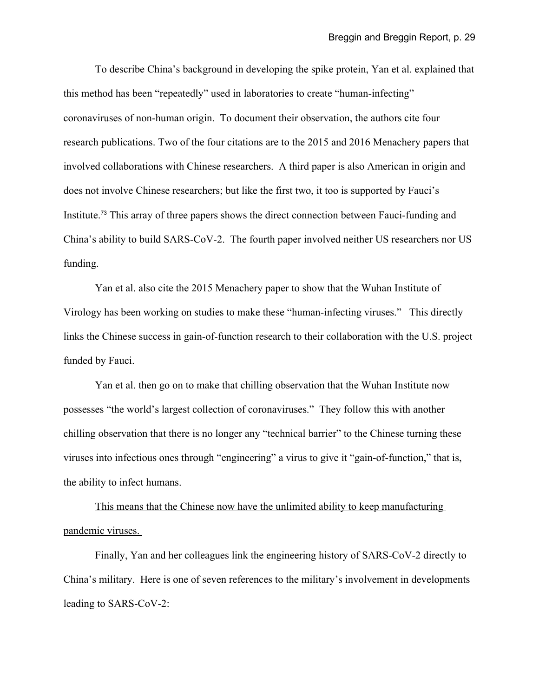To describe China's background in developing the spike protein, Yan et al. explained that this method has been "repeatedly" used in laboratories to create "human-infecting" coronaviruses of non-human origin. To document their observation, the authors cite four research publications. Two of the four citations are to the 2015 and 2016 Menachery papers that involved collaborations with Chinese researchers. A third paper is also American in origin and does not involve Chinese researchers; but like the first two, it too is supported by Fauci's Institute.[73](#page-46-0) This array of three papers shows the direct connection between Fauci-funding and China's ability to build SARS-CoV-2. The fourth paper involved neither US researchers nor US funding.

Yan et al. also cite the 2015 Menachery paper to show that the Wuhan Institute of Virology has been working on studies to make these "human-infecting viruses." This directly links the Chinese success in gain-of-function research to their collaboration with the U.S. project funded by Fauci.

Yan et al. then go on to make that chilling observation that the Wuhan Institute now possesses "the world's largest collection of coronaviruses." They follow this with another chilling observation that there is no longer any "technical barrier" to the Chinese turning these viruses into infectious ones through "engineering" a virus to give it "gain-of-function," that is, the ability to infect humans.

This means that the Chinese now have the unlimited ability to keep manufacturing pandemic viruses.

Finally, Yan and her colleagues link the engineering history of SARS-CoV-2 directly to China's military. Here is one of seven references to the military's involvement in developments leading to SARS-CoV-2: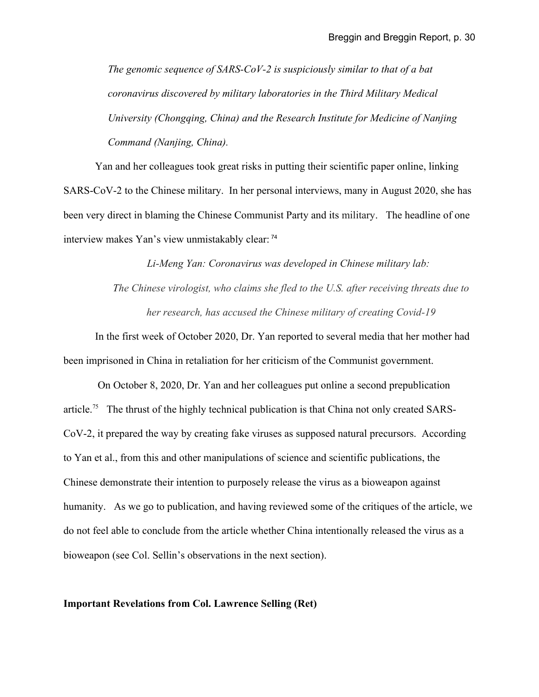*The genomic sequence of SARS-CoV-2 is suspiciously similar to that of a bat coronavirus discovered by military laboratories in the Third Military Medical University (Chongqing, China) and the Research Institute for Medicine of Nanjing Command (Nanjing, China).*

Yan and her colleagues took great risks in putting their scientific paper online, linking SARS-CoV-2 to the Chinese military. In her personal interviews, many in August 2020, she has been very direct in blaming the Chinese Communist Party and its military. The headline of one interview makes Yan's view unmistakably clear: [74](#page-46-1)

> *Li-Meng Yan: Coronavirus was developed in Chinese military lab: The Chinese virologist, who claims she fled to the U.S. after receiving threats due to her research, has accused the Chinese military of creating Covid-19*

In the first week of October 2020, Dr. Yan reported to several media that her mother had been imprisoned in China in retaliation for her criticism of the Communist government.

 On October 8, 2020, Dr. Yan and her colleagues put online a second prepublication article.<sup>[75](#page-46-2)</sup> The thrust of the highly technical publication is that China not only created SARS-CoV-2, it prepared the way by creating fake viruses as supposed natural precursors. According to Yan et al., from this and other manipulations of science and scientific publications, the Chinese demonstrate their intention to purposely release the virus as a bioweapon against humanity. As we go to publication, and having reviewed some of the critiques of the article, we do not feel able to conclude from the article whether China intentionally released the virus as a bioweapon (see Col. Sellin's observations in the next section).

#### **Important Revelations from Col. Lawrence Selling (Ret)**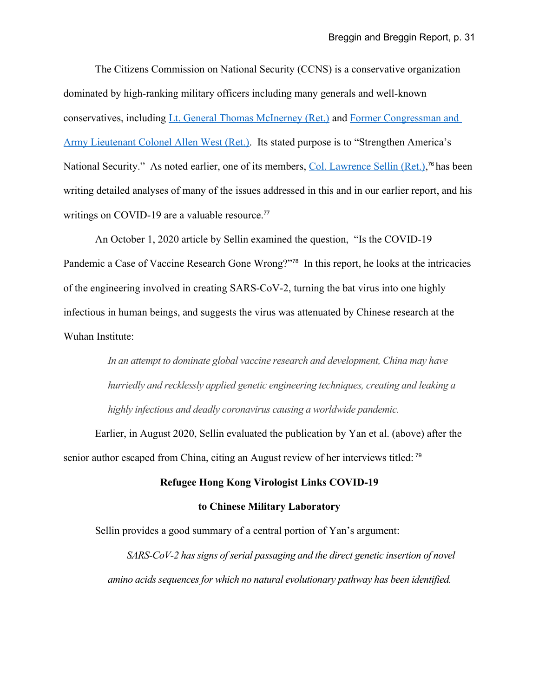The Citizens Commission on National Security (CCNS) is a conservative organization dominated by high-ranking military officers including many generals and well-known conservatives, including [Lt. General Thomas McInerney \(Ret.\)](https://ccnationalsecurity.org/team/lt-general-thomas-mcinerney-ret/) and [Former Congressman and](https://ccnationalsecurity.org/team/former-congressman-and-army-lieutenant-colonel-allen-west-ret/)  [Army Lieutenant Colonel Allen West \(Ret.\).](https://ccnationalsecurity.org/team/former-congressman-and-army-lieutenant-colonel-allen-west-ret/) Its stated purpose is to "Strengthen America's National Security." As noted earlier, one of its members, [Col. Lawrence Sellin \(Ret.\),](https://ccnationalsecurity.org/team/col-lawrence-sellin-ret/)<sup>[76](#page-46-3)</sup> has been writing detailed analyses of many of the issues addressed in this and in our earlier report, and his writings on COVID-19 are a valuable resource.<sup>[77](#page-46-4)</sup>

An October 1, 2020 article by Sellin examined the question, "Is the COVID-19 Pandemic a Case of Vaccine Research Gone Wrong?"[78](#page-46-5) In this report, he looks at the intricacies of the engineering involved in creating SARS-CoV-2, turning the bat virus into one highly infectious in human beings, and suggests the virus was attenuated by Chinese research at the Wuhan Institute:

> *In an attempt to dominate global vaccine research and development, China may have hurriedly and recklessly applied genetic engineering techniques, creating and leaking a highly infectious and deadly coronavirus causing a worldwide pandemic.*

Earlier, in August 2020, Sellin evaluated the publication by Yan et al. (above) after the senior author escaped from China, citing an August review of her interviews titled: <sup>[79](#page-46-6)</sup>

# **Refugee Hong Kong Virologist Links COVID-19**

# **to Chinese Military Laboratory**

Sellin provides a good summary of a central portion of Yan's argument:

*SARS-CoV-2 has signs of serial passaging and the direct genetic insertion of novel amino acids sequences for which no natural evolutionary pathway has been identified.*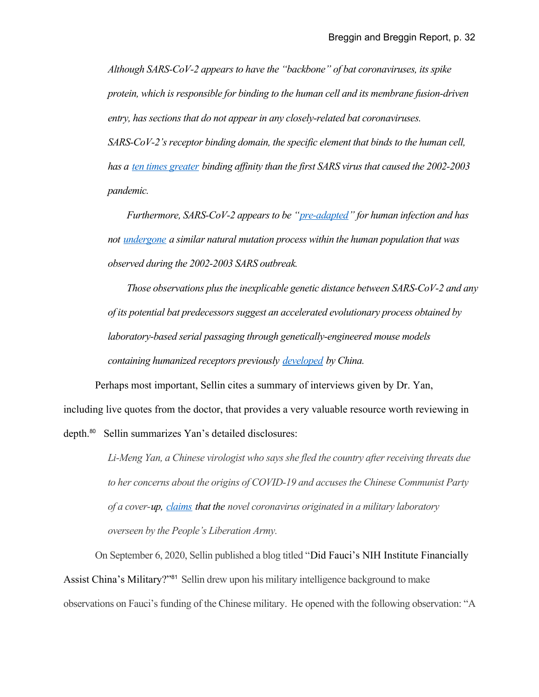*Although SARS-CoV-2 appears to have the "backbone" of bat coronaviruses, its spike protein, which is responsible for binding to the human cell and its membrane fusion-driven entry, has sections that do not appear in any closely-related bat coronaviruses.*

*SARS-CoV-2's receptor binding domain, the specific element that binds to the human cell, has a [ten times greater](https://eur04.safelinks.protection.outlook.com/?url=https%3A%2F%2Fpubmed.ncbi.nlm.nih.gov%2F32278065%2F&data=02%7C01%7C%7Ccdc579088ddc43a2be0a08d83f7db77d%7C84df9e7fe9f640afb435aaaaaaaaaaaa%7C1%7C0%7C637329156458761916&sdata=0Y8Cob1g8SrEHfqdFgGbTXIcnPc8ohdYQqdwmXwYTVs%3D&reserved=0) binding affinity than the first SARS virus that caused the 2002-2003 pandemic.*

*Furthermore, SARS-CoV-2 appears to be ["pre-adapted"](https://eur04.safelinks.protection.outlook.com/?url=https%3A%2F%2Fwww.wionews.com%2Fopinions-blogs%2Fcovid-19-scientific-disinformation-is-quite-literally-killing-us-313438&data=02%7C01%7C%7Ccdc579088ddc43a2be0a08d83f7db77d%7C84df9e7fe9f640afb435aaaaaaaaaaaa%7C1%7C0%7C637329156458773451&sdata=9RLz%2Fg%2FJBTOGK9LyZjfwwAtt6PS0D6zrfFDsEjBqO9A%3D&reserved=0) for human infection and has not [undergone](https://eur04.safelinks.protection.outlook.com/?url=https%3A%2F%2Fwww.cambridge.org%2Fcore%2Fservices%2Faop-cambridge-core%2Fcontent%2Fview%2FDBBC0FA6E3763B0067CAAD8F3363E527%2FS2633289220000083a.pdf%2Fbiovacc19_a_candidate_vaccine_for_covid19_sarscov2_developed_from_analysis_of_its_general_method_of_action_for_infectivity.pdf&data=02%7C01%7C%7Ccdc579088ddc43a2be0a08d83f7db77d%7C84df9e7fe9f640afb435aaaaaaaaaaaa%7C1%7C0%7C637329156458773451&sdata=ivBEs69frBfaq%2BcQIUXwkrzRiu8CL21VplgTlYMddMw%3D&reserved=0) a similar natural mutation process within the human population that was observed during the 2002-2003 SARS outbreak.*

*Those observations plus the inexplicable genetic distance between SARS-CoV-2 and any of its potential bat predecessors suggest an accelerated evolutionary process obtained by laboratory-based serial passaging through genetically-engineered mouse models containing humanized receptors previously [developed](https://eur04.safelinks.protection.outlook.com/?url=https%3A%2F%2Fwww.ingentaconnect.com%2Fcontent%2Faalas%2Fcm%2F2007%2F00000057%2F00000005%2Fart00003&data=02%7C01%7C%7Ccdc579088ddc43a2be0a08d83f7db77d%7C84df9e7fe9f640afb435aaaaaaaaaaaa%7C1%7C0%7C637329156458781911&sdata=uFJapC1D80lDaS%2F3W%2BnxPNaOqmhkS62xhnx3Gm%2FuyPY%3D&reserved=0) by China.*

Perhaps most important, Sellin cites a summary of interviews given by Dr. Yan, including live quotes from the doctor, that provides a very valuable resource worth reviewing in depth.<sup>[80](#page-46-7)</sup> Sellin summarizes Yan's detailed disclosures:

> *Li-Meng Yan, a Chinese virologist who says she fled the country after receiving threats due to her concerns about the origins of COVID-19 and accuses the Chinese Communist Party of a cover-up, [claims](https://eur05.safelinks.protection.outlook.com/?url=https%3A%2F%2Fen.as.com%2Fen%2F2020%2F08%2F03%2Flatest_news%2F1596459547_022260.html&data=02%7C01%7C%7C7d77d5c6b4274b584d4408d838757cd6%7C84df9e7fe9f640afb435aaaaaaaaaaaa%7C1%7C0%7C637321424538009305&sdata=yEpiWeYOsQT2UPfC1YOpkTGFFqGuCVDOa5MbDcqRdw0%3D&reserved=0) that the novel coronavirus originated in a military laboratory overseen by the People's Liberation Army.*

On September 6, 2020, Sellin published a blog titled "Did Fauci's NIH Institute Financially Assist China's Military?"[81](#page-46-8) Sellin drew upon his military intelligence background to make observations on Fauci's funding of the Chinese military. He opened with the following observation: "A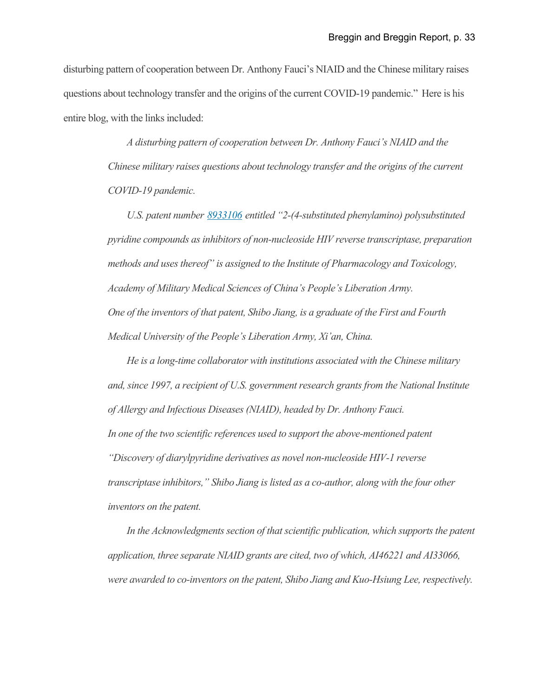disturbing pattern of cooperation between Dr. Anthony Fauci's NIAID and the Chinese military raises questions about technology transfer and the origins of the current COVID-19 pandemic." Here is his entire blog, with the links included:

> *A disturbing pattern of cooperation between Dr. Anthony Fauci's NIAID and the Chinese military raises questions about technology transfer and the origins of the current COVID-19 pandemic.*

*U.S. patent number [8933106](https://nam12.safelinks.protection.outlook.com/?url=https%3A%2F%2Fpatents.justia.com%2Fpatent%2F8933106&data=02%7C01%7C%7C563e85be56394adfa3e308d851966c51%7C84df9e7fe9f640afb435aaaaaaaaaaaa%7C1%7C0%7C637349053781202969&sdata=p4uyYDkhtQwEYG%2BzmZrq8BlltmWRh%2FSa7CdBGg8TefU%3D&reserved=0) entitled "2-(4-substituted phenylamino) polysubstituted pyridine compounds as inhibitors of non-nucleoside HIV reverse transcriptase, preparation methods and uses thereof" is assigned to the Institute of Pharmacology and Toxicology, Academy of Military Medical Sciences of China's People's Liberation Army. One of the inventors of that patent, Shibo Jiang, is a graduate of the First and Fourth Medical University of the People's Liberation Army, Xi'an, China.*

*He is a long-time collaborator with institutions associated with the Chinese military and, since 1997, a recipient of U.S. government research grants from the National Institute of Allergy and Infectious Diseases (NIAID), headed by Dr. Anthony Fauci. In one of the two scientific references used to support the above-mentioned patent "Discovery of diarylpyridine derivatives as novel non-nucleoside HIV-1 reverse transcriptase inhibitors," Shibo Jiang is listed as a co-author, along with the four other inventors on the patent.*

*In the Acknowledgments section of that scientific publication, which supports the patent application, three separate NIAID grants are cited, two of which, AI46221 and AI33066, were awarded to co-inventors on the patent, Shibo Jiang and Kuo-Hsiung Lee, respectively.*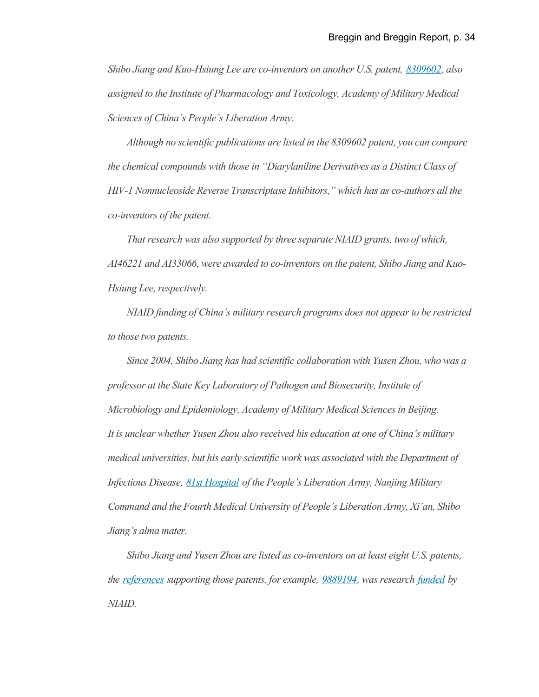*Shibo Jiang and Kuo-Hsiung Lee are co-inventors on another U.S. patent, [8309602,](https://nam12.safelinks.protection.outlook.com/?url=https%3A%2F%2Fpatents.justia.com%2Fpatent%2F8309602&data=02%7C01%7C%7C563e85be56394adfa3e308d851966c51%7C84df9e7fe9f640afb435aaaaaaaaaaaa%7C1%7C0%7C637349053781202969&sdata=khUmS2Dy6mVD%2BMMjXMLcnpP0Hz1%2BEfs5cKUkhxZrDqQ%3D&reserved=0) also assigned to the Institute of Pharmacology and Toxicology, Academy of Military Medical Sciences of China's People's Liberation Army.*

*Although no scientific publications are listed in the 8309602 patent, you can compare the chemical compounds with those in "Diarylaniline Derivatives as a Distinct Class of HIV-1 Nonnucleoside Reverse Transcriptase Inhibitors," which has as co-authors all the co-inventors of the patent.*

*That research was also supported by three separate NIAID grants, two of which, AI46221 and AI33066, were awarded to co-inventors on the patent, Shibo Jiang and Kuo-Hsiung Lee, respectively.*

*NIAID funding of China's military research programs does not appear to be restricted to those two patents.*

*Since 2004, Shibo Jiang has had scientific collaboration with Yusen Zhou, who was a professor at the State Key Laboratory of Pathogen and Biosecurity, Institute of Microbiology and Epidemiology, Academy of Military Medical Sciences in Beijing. It is unclear whether Yusen Zhou also received his education at one of China's military medical universities, but his early scientific work was associated with the Department of Infectious Disease, [81st Hospital](https://nam12.safelinks.protection.outlook.com/?url=http%3A%2F%2Fen.cnki.com.cn%2FArticle_en%2FCJFDTotal-DNGY199902000.htm&data=02%7C01%7C%7C563e85be56394adfa3e308d851966c51%7C84df9e7fe9f640afb435aaaaaaaaaaaa%7C1%7C0%7C637349053781202969&sdata=4bXmKpbl44wyGZqHc%2F7nTIq3t7oPN06tNy9XNQWx%2BHk%3D&reserved=0) of the People's Liberation Army, Nanjing Military Command and the Fourth Medical University of People's Liberation Army, Xi'an, Shibo Jiang's alma mater.*

*Shibo Jiang and Yusen Zhou are listed as co-inventors on at least eight U.S. patents, the [references](https://nam12.safelinks.protection.outlook.com/?url=https%3A%2F%2Fwww.ncbi.nlm.nih.gov%2Fpmc%2Farticles%2FPMC2750777%2F&data=02%7C01%7C%7C563e85be56394adfa3e308d851966c51%7C84df9e7fe9f640afb435aaaaaaaaaaaa%7C1%7C0%7C637349053781212964&sdata=if2hLzZsFG%2Fa4WPpZe0qSPyQR4wBhsWWGBomXnIdrlc%3D&reserved=0) supporting those patents, for example, [9889194,](https://nam12.safelinks.protection.outlook.com/?url=https%3A%2F%2Fpatents.justia.com%2Fpatent%2F9889194&data=02%7C01%7C%7C563e85be56394adfa3e308d851966c51%7C84df9e7fe9f640afb435aaaaaaaaaaaa%7C1%7C0%7C637349053781212964&sdata=jkjhEkbYnDoW5tTpVrN1dAA0vZnPjMyYJrislRiFiY4%3D&reserved=0) was research [funded](https://nam12.safelinks.protection.outlook.com/?url=https%3A%2F%2Fgrantome.com%2Fgrant%2FNIH%2FR01-AI068002-03&data=02%7C01%7C%7C563e85be56394adfa3e308d851966c51%7C84df9e7fe9f640afb435aaaaaaaaaaaa%7C1%7C0%7C637349053781222957&sdata=18Nbr9cUQZSLZzl11R%2FGWS9L0mIF1VcLFv%2B2asNUquM%3D&reserved=0) by NIAID.*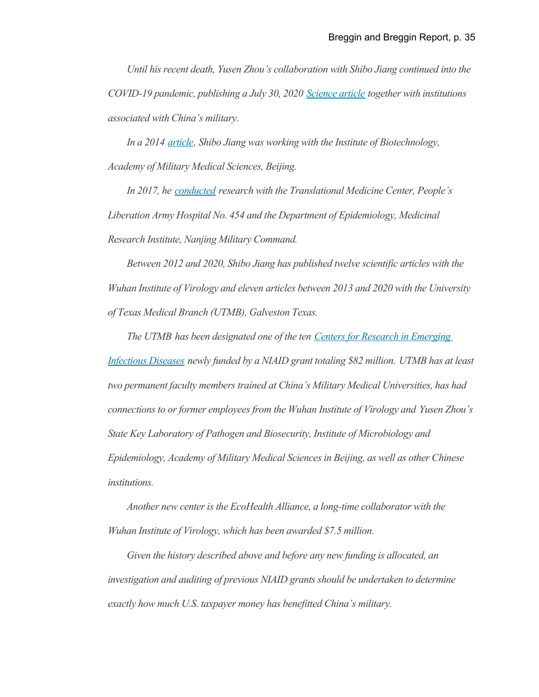*Until his recent death, Yusen Zhou's collaboration with Shibo Jiang continued into the COVID-19 pandemic, publishing a July 30, 2020 [Science article](https://nam12.safelinks.protection.outlook.com/?url=https%3A%2F%2Fscience.sciencemag.org%2Fcontent%2Fearly%2F2020%2F07%2F29%2Fscience.abc4730.full&data=02%7C01%7C%7C563e85be56394adfa3e308d851966c51%7C84df9e7fe9f640afb435aaaaaaaaaaaa%7C1%7C0%7C637349053781222957&sdata=CMRI%2BKLuBB1d5s1x6YbX4nNov1NeG5iJUHCzqC%2B1nKU%3D&reserved=0) together with institutions associated with China's military.*

*In a 2014 [article,](https://nam12.safelinks.protection.outlook.com/?url=https%3A%2F%2Fen.cnki.com.cn%2FArticle_en%2FCJFDTOTAL-JSYX201408012.htm&data=02%7C01%7C%7C563e85be56394adfa3e308d851966c51%7C84df9e7fe9f640afb435aaaaaaaaaaaa%7C1%7C0%7C637349053781232951&sdata=Wqw3STc4JoCx9c27RCGQ3ivFrGg96MYvo9ztZnjmGN8%3D&reserved=0) Shibo Jiang was working with the Institute of Biotechnology, Academy of Military Medical Sciences, Beijing.*

*In 2017, he [conducted](https://nam12.safelinks.protection.outlook.com/?url=https%3A%2F%2Fen.cnki.com.cn%2FArticle_en%2FCJFDTOTAL-JSYX201408012.htm&data=02%7C01%7C%7C563e85be56394adfa3e308d851966c51%7C84df9e7fe9f640afb435aaaaaaaaaaaa%7C1%7C0%7C637349053781232951&sdata=Wqw3STc4JoCx9c27RCGQ3ivFrGg96MYvo9ztZnjmGN8%3D&reserved=0) research with the Translational Medicine Center, People's Liberation Army Hospital No. 454 and the Department of Epidemiology, Medicinal Research Institute, Nanjing Military Command.*

*Between 2012 and 2020, Shibo Jiang has published twelve scientific articles with the Wuhan Institute of Virology and eleven articles between 2013 and 2020 with the University of Texas Medical Branch (UTMB), Galveston Texas.*

*The UTMB has been designated one of the ten [Centers for Research in Emerging](https://eur06.safelinks.protection.outlook.com/?url=https%3A%2F%2Fwww.nih.gov%2Fnews-events%2Fnews-releases%2Fnih-establishes-centers-research-emerging-infectious-diseases&data=02%7C01%7C%7C5e1789cd98a54c05068c08d85210dfec%7C84df9e7fe9f640afb435aaaaaaaaaaaa%7C1%7C0%7C637349579711420845&sdata=YQDwlmPcKy2Nit1WS79%2BGMh7R60HE%2FBMiVrxmYlOWKo%3D&reserved=0) [Infectious Diseases](https://eur06.safelinks.protection.outlook.com/?url=https%3A%2F%2Fwww.nih.gov%2Fnews-events%2Fnews-releases%2Fnih-establishes-centers-research-emerging-infectious-diseases&data=02%7C01%7C%7C5e1789cd98a54c05068c08d85210dfec%7C84df9e7fe9f640afb435aaaaaaaaaaaa%7C1%7C0%7C637349579711420845&sdata=YQDwlmPcKy2Nit1WS79%2BGMh7R60HE%2FBMiVrxmYlOWKo%3D&reserved=0) newly funded by a NIAID grant totaling \$82 million. UTMB has at least two permanent faculty members trained at China's Military Medical Universities, has had connections to or former employees from the Wuhan Institute of Virology and Yusen Zhou's State Key Laboratory of Pathogen and Biosecurity, Institute of Microbiology and Epidemiology, Academy of Military Medical Sciences in Beijing, as well as other Chinese institutions.*

*Another new center is the EcoHealth Alliance, a long-time collaborator with the Wuhan Institute of Virology, which has been awarded \$7.5 million.*

*Given the history described above and before any new funding is allocated, an investigation and auditing of previous NIAID grants should be undertaken to determine exactly how much U.S. taxpayer money has benefitted China's military.*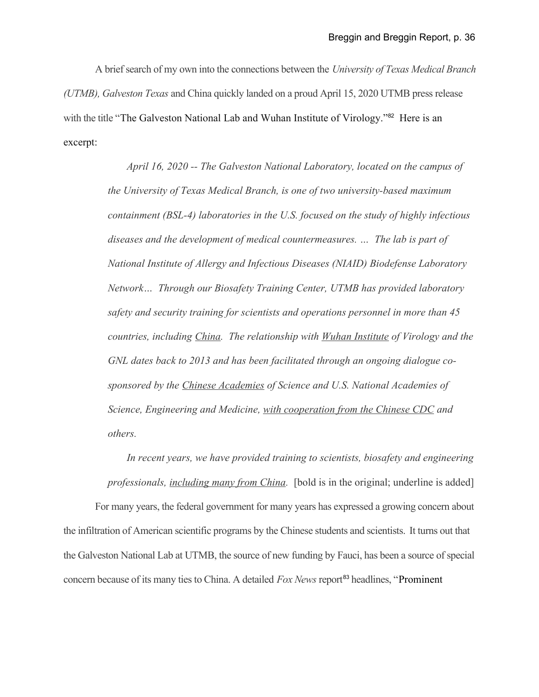A brief search of my own into the connections between the *University of Texas Medical Branch (UTMB), Galveston Texas* and China quickly landed on a proud April 15, 2020 UTMB press release with the title "The Galveston National Lab and Wuhan Institute of Virology."<sup>[82](#page-46-9)</sup> Here is an excerpt:

> *April 16, 2020 -- The Galveston National Laboratory, located on the campus of the University of Texas Medical Branch, is one of two university-based maximum containment (BSL-4) laboratories in the U.S. focused on the study of highly infectious diseases and the development of medical countermeasures. … The lab is part of National Institute of Allergy and Infectious Diseases (NIAID) Biodefense Laboratory Network… Through our Biosafety Training Center, UTMB has provided laboratory safety and security training for scientists and operations personnel in more than 45 countries, including China. The relationship with Wuhan Institute of Virology and the GNL dates back to 2013 and has been facilitated through an ongoing dialogue cosponsored by the Chinese Academies of Science and U.S. National Academies of Science, Engineering and Medicine, with cooperation from the Chinese CDC and others.*

*In recent years, we have provided training to scientists, biosafety and engineering professionals, including many from China.* [bold is in the original; underline is added]

For many years, the federal government for many years has expressed a growing concern about the infiltration of American scientific programs by the Chinese students and scientists. It turns out that the Galveston National Lab at UTMB, the source of new funding by Fauci, has been a source of special concern because of its many ties to China. A detailed *Fox News* report<sup>[83](#page-46-10)</sup> headlines, "Prominent"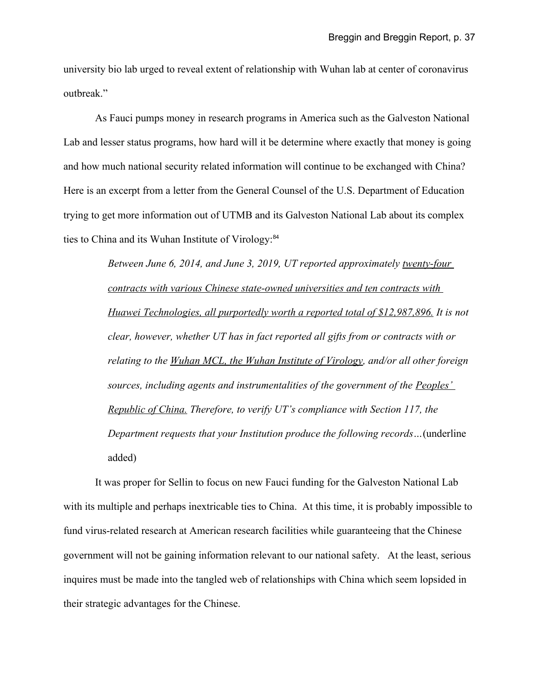university bio lab urged to reveal extent of relationship with Wuhan lab at center of coronavirus outbreak."

As Fauci pumps money in research programs in America such as the Galveston National Lab and lesser status programs, how hard will it be determine where exactly that money is going and how much national security related information will continue to be exchanged with China? Here is an excerpt from a letter from the General Counsel of the U.S. Department of Education trying to get more information out of UTMB and its Galveston National Lab about its complex ties to China and its Wuhan Institute of Virology:<sup>[84](#page-46-11)</sup>

> *Between June 6, 2014, and June 3, 2019, UT reported approximately twenty-four contracts with various Chinese state-owned universities and ten contracts with Huawei Technologies, all purportedly worth a reported total of \$12,987,896. It is not clear, however, whether UT has in fact reported all gifts from or contracts with or relating to the Wuhan MCL, the Wuhan Institute of Virology, and/or all other foreign sources, including agents and instrumentalities of the government of the Peoples' Republic of China. Therefore, to verify UT's compliance with Section 117, the Department requests that your Institution produce the following records…*(underline added)

It was proper for Sellin to focus on new Fauci funding for the Galveston National Lab with its multiple and perhaps inextricable ties to China. At this time, it is probably impossible to fund virus-related research at American research facilities while guaranteeing that the Chinese government will not be gaining information relevant to our national safety. At the least, serious inquires must be made into the tangled web of relationships with China which seem lopsided in their strategic advantages for the Chinese.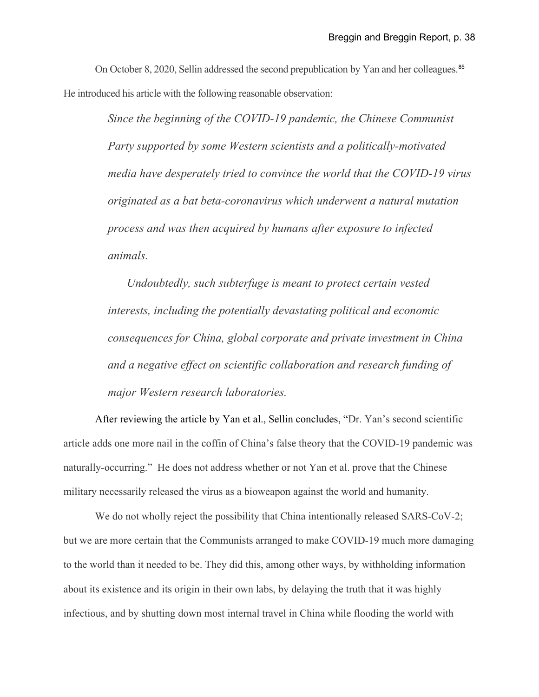On October 8, 2020, Sellin addressed the second prepublication by Yan and her colleagues.<sup>[85](#page-46-12)</sup> He introduced his article with the following reasonable observation:

> *Since the beginning of the COVID-19 pandemic, the Chinese Communist Party supported by some Western scientists and a politically-motivated media have desperately tried to convince the world that the COVID-19 virus originated as a bat beta-coronavirus which underwent a natural mutation process and was then acquired by humans after exposure to infected animals.*

*Undoubtedly, such subterfuge is meant to protect certain vested interests, including the potentially devastating political and economic consequences for China, global corporate and private investment in China and a negative effect on scientific collaboration and research funding of major Western research laboratories.*

After reviewing the article by Yan et al., Sellin concludes, "Dr. Yan's second scientific article adds one more nail in the coffin of China's false theory that the COVID-19 pandemic was naturally-occurring." He does not address whether or not Yan et al. prove that the Chinese military necessarily released the virus as a bioweapon against the world and humanity.

We do not wholly reject the possibility that China intentionally released SARS-CoV-2; but we are more certain that the Communists arranged to make COVID-19 much more damaging to the world than it needed to be. They did this, among other ways, by withholding information about its existence and its origin in their own labs, by delaying the truth that it was highly infectious, and by shutting down most internal travel in China while flooding the world with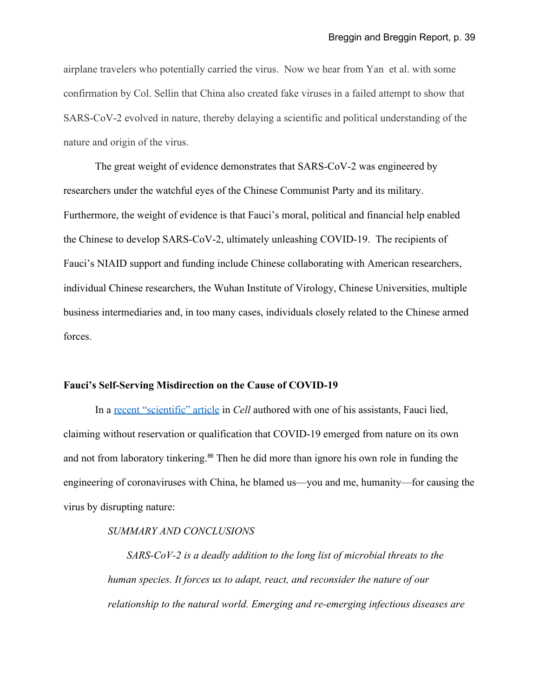airplane travelers who potentially carried the virus. Now we hear from Yan et al. with some confirmation by Col. Sellin that China also created fake viruses in a failed attempt to show that SARS-CoV-2 evolved in nature, thereby delaying a scientific and political understanding of the nature and origin of the virus.

The great weight of evidence demonstrates that SARS-CoV-2 was engineered by researchers under the watchful eyes of the Chinese Communist Party and its military. Furthermore, the weight of evidence is that Fauci's moral, political and financial help enabled the Chinese to develop SARS-CoV-2, ultimately unleashing COVID-19. The recipients of Fauci's NIAID support and funding include Chinese collaborating with American researchers, individual Chinese researchers, the Wuhan Institute of Virology, Chinese Universities, multiple business intermediaries and, in too many cases, individuals closely related to the Chinese armed forces.

# **Fauci's Self-Serving Misdirection on the Cause of COVID-19**

In a [recent "scientific" article](https://www.cell.com/action/showPdf?pii=S0092-8674(20)31012-6) in *Cell* authored with one of his assistants, Fauci lied, claiming without reservation or qualification that COVID-19 emerged from nature on its own and not from laboratory tinkering.<sup>[86](#page-46-13)</sup> Then he did more than ignore his own role in funding the engineering of coronaviruses with China, he blamed us—you and me, humanity—for causing the virus by disrupting nature:

## *SUMMARY AND CONCLUSIONS*

*SARS-CoV-2 is a deadly addition to the long list of microbial threats to the human species. It forces us to adapt, react, and reconsider the nature of our relationship to the natural world. Emerging and re-emerging infectious diseases are*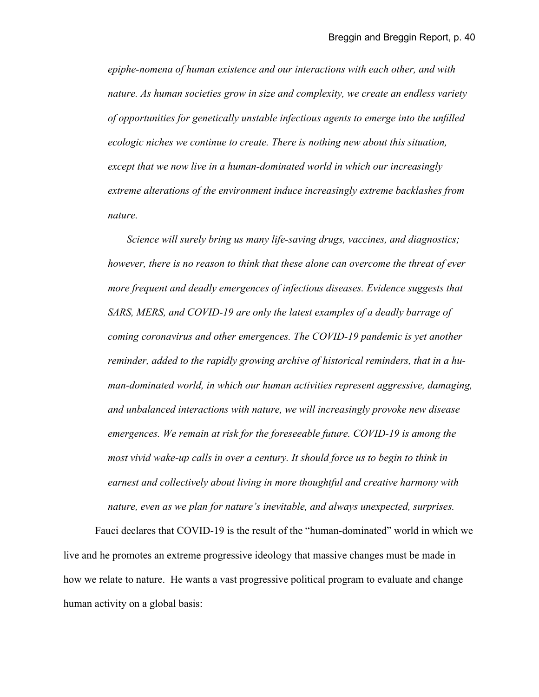*epiphe-nomena of human existence and our interactions with each other, and with nature. As human societies grow in size and complexity, we create an endless variety of opportunities for genetically unstable infectious agents to emerge into the unfilled ecologic niches we continue to create. There is nothing new about this situation, except that we now live in a human-dominated world in which our increasingly extreme alterations of the environment induce increasingly extreme backlashes from nature.*

*Science will surely bring us many life-saving drugs, vaccines, and diagnostics; however, there is no reason to think that these alone can overcome the threat of ever more frequent and deadly emergences of infectious diseases. Evidence suggests that* SARS, MERS, and COVID-19 are only the latest examples of a deadly barrage of *coming coronavirus and other emergences. The COVID-19 pandemic is yet another reminder, added to the rapidly growing archive of historical reminders, that in a human-dominated world, in which our human activities represent aggressive, damaging, and unbalanced interactions with nature, we will increasingly provoke new disease emergences. We remain at risk for the foreseeable future. COVID-19 is among the most vivid wake-up calls in over a century. It should force us to begin to think in earnest and collectively about living in more thoughtful and creative harmony with nature, even as we plan for nature's inevitable, and always unexpected, surprises.*

Fauci declares that COVID-19 is the result of the "human-dominated" world in which we live and he promotes an extreme progressive ideology that massive changes must be made in how we relate to nature. He wants a vast progressive political program to evaluate and change human activity on a global basis: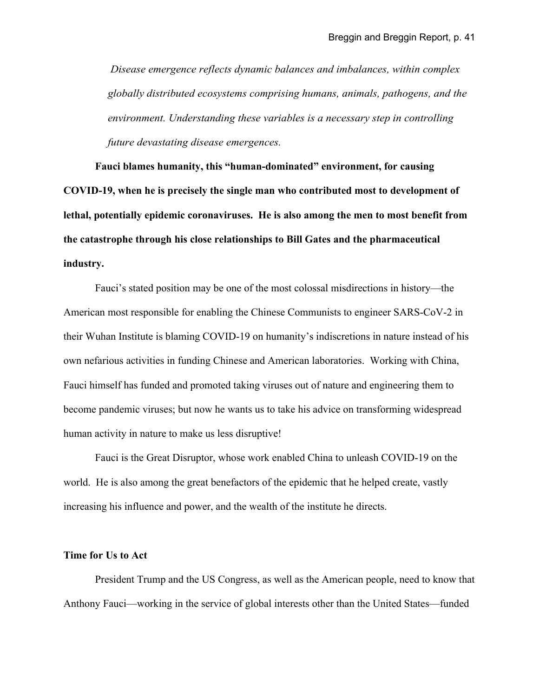*Disease emergence reflects dynamic balances and imbalances, within complex globally distributed ecosystems comprising humans, animals, pathogens, and the environment. Understanding these variables is a necessary step in controlling future devastating disease emergences.* 

**Fauci blames humanity, this "human-dominated" environment, for causing COVID-19, when he is precisely the single man who contributed most to development of lethal, potentially epidemic coronaviruses. He is also among the men to most benefit from the catastrophe through his close relationships to Bill Gates and the pharmaceutical industry.**

Fauci's stated position may be one of the most colossal misdirections in history—the American most responsible for enabling the Chinese Communists to engineer SARS-CoV-2 in their Wuhan Institute is blaming COVID-19 on humanity's indiscretions in nature instead of his own nefarious activities in funding Chinese and American laboratories. Working with China, Fauci himself has funded and promoted taking viruses out of nature and engineering them to become pandemic viruses; but now he wants us to take his advice on transforming widespread human activity in nature to make us less disruptive!

Fauci is the Great Disruptor, whose work enabled China to unleash COVID-19 on the world. He is also among the great benefactors of the epidemic that he helped create, vastly increasing his influence and power, and the wealth of the institute he directs.

# **Time for Us to Act**

President Trump and the US Congress, as well as the American people, need to know that Anthony Fauci—working in the service of global interests other than the United States—funded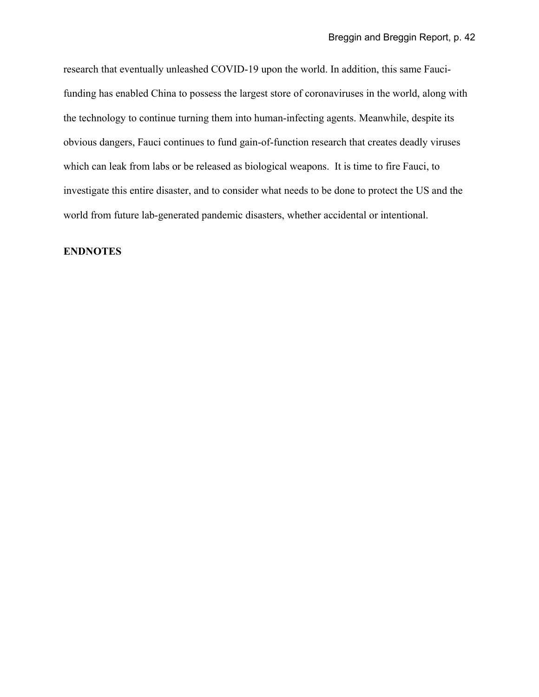research that eventually unleashed COVID-19 upon the world. In addition, this same Faucifunding has enabled China to possess the largest store of coronaviruses in the world, along with the technology to continue turning them into human-infecting agents. Meanwhile, despite its obvious dangers, Fauci continues to fund gain-of-function research that creates deadly viruses which can leak from labs or be released as biological weapons. It is time to fire Fauci, to investigate this entire disaster, and to consider what needs to be done to protect the US and the world from future lab-generated pandemic disasters, whether accidental or intentional.

# **ENDNOTES**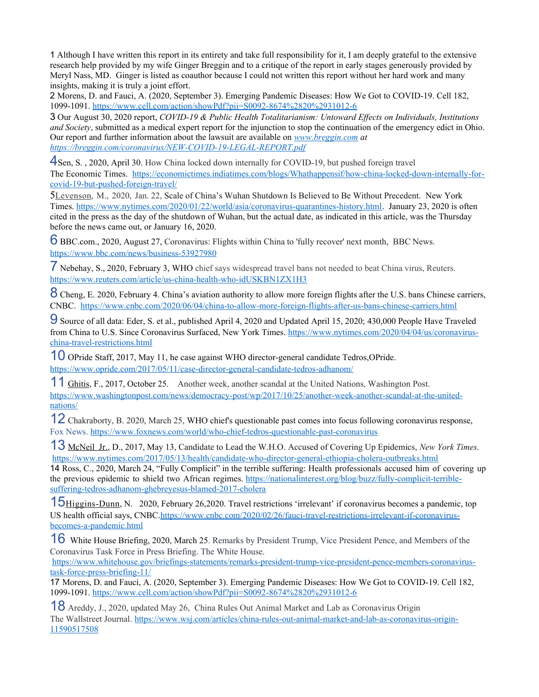<span id="page-42-0"></span>1 - Although I have written this report in its entirety and take full responsibility for it, I am deeply grateful to the extensive research help provided by my wife Ginger Breggin and to a critique of the report in early stages generously provided by Meryl Nass, MD. Ginger is listed as coauthor because I could not written this report without her hard work and many insights, making it is truly a joint effort.

<span id="page-42-1"></span>2 - Morens, D. and Fauci, A. (2020, September 3). Emerging Pandemic Diseases: How We Got to COVID-19. Cell 182, 1099-1091. [https://www.cell.com/action/showPdf?pii=S0092-8674%2820%2931012-6](https://www.cell.com/action/showPdf?pii=S0092-8674(20)31012-6)

<span id="page-42-2"></span>3 - Our August 30, 2020 report, *COVID-19 & Public Health Totalitarianism: Untoward Effects on Individuals, Institutions and Society*, submitted as a medical expert report for the injunction to stop the continuation of the emergency edict in Ohio. Our report and further information about the lawsuit are available on *[www.breggin.com](http://www.breggin.com/) at <https://breggin.com/coronavirus/NEW-COVID-19-LEGAL-REPORT.pdf>*

<span id="page-42-3"></span>4Sen, S., 2020, April 30. How China locked down internally for COVID-19, but pushed foreign travel The Economic Times. [https://economictimes.indiatimes.com/blogs/Whathappensif/how-china-locked-down-internally-for](https://economictimes.indiatimes.com/blogs/Whathappensif/how-china-locked-down-internally-for-covid-19-but-pushed-foreign-travel/)[covid-19-but-pushed-foreign-travel/](https://economictimes.indiatimes.com/blogs/Whathappensif/how-china-locked-down-internally-for-covid-19-but-pushed-foreign-travel/)

<span id="page-42-4"></span>5 Levenson, M., 2020, Jan. 22, Scale of China's Wuhan Shutdown Is Believed to Be Without Precedent. New York Times. [https://www.nytimes.com/2020/01/22/world/asia/coronavirus-quarantines-history.html.](https://www.nytimes.com/2020/01/22/world/asia/coronavirus-quarantines-history.html) January 23, 2020 is often cited in the press as the day of the shutdown of Wuhan, but the actual date, as indicated in this article, was the Thursday before the news came out, or January 16, 2020.

<span id="page-42-5"></span>6BBC.com., 2020, August 27, Coronavirus: Flights within China to 'fully recover' next month, BBC News. <https://www.bbc.com/news/business-53927980>

<span id="page-42-6"></span>7- Nebehay, S., 2020, February 3, WHO chief says widespread travel bans not needed to beat China virus, Reuters. <https://www.reuters.com/article/us-china-health-who-idUSKBN1ZX1H3>

<span id="page-42-7"></span>8<sup>-</sup>Cheng, E. 2020, February 4. China's aviation authority to allow more foreign flights after the U.S. bans Chinese carriers, CNBC. <https://www.cnbc.com/2020/06/04/china-to-allow-more-foreign-flights-after-us-bans-chinese-carriers.html>

<span id="page-42-8"></span>9- Source of all data: Eder, S. et al., published April 4, 2020 and Updated April 15, 2020; 430,000 People Have Traveled from China to U.S. Since Coronavirus Surfaced, New York Times. [https://www.nytimes.com/2020/04/04/us/coronavirus](https://www.nytimes.com/2020/04/04/us/coronavirus-china-travel-restrictions.html)[china-travel-restrictions.html](https://www.nytimes.com/2020/04/04/us/coronavirus-china-travel-restrictions.html)

<span id="page-42-9"></span>10- OPride Staff, 2017, May 11, he case against WHO director-general candidate Tedros,OPride. <https://www.opride.com/2017/05/11/case-director-general-candidate-tedros-adhanom/>

<span id="page-42-10"></span>11-[Ghitis,](https://www.washingtonpost.com/people/frida-ghitis/) F., 2017, October 25. Another week, another scandal at the United Nations, Washington Post. [https://www.washingtonpost.com/news/democracy-post/wp/2017/10/25/another-week-another-scandal-at-the-united](https://www.washingtonpost.com/news/democracy-post/wp/2017/10/25/another-week-another-scandal-at-the-united-nations/)[nations/](https://www.washingtonpost.com/news/democracy-post/wp/2017/10/25/another-week-another-scandal-at-the-united-nations/)

<span id="page-42-11"></span>12-Chakraborty, B. 2020, March 25, WHO chief's questionable past comes into focus following coronavirus response, Fox News.<https://www.foxnews.com/world/who-chief-tedros-questionable-past-coronavirus>

<span id="page-42-12"></span>13-[McNeil Jr. ,](http://www.nytimes.com/by/donald-g-mcneil-jr)D., 2017, May 13, Candidate to Lead the W.H.O. Accused of Covering Up Epidemics, *New York Times.* <https://www.nytimes.com/2017/05/13/health/candidate-who-director-general-ethiopia-cholera-outbreaks.html>

<span id="page-42-13"></span>14 Ross, C., 2020, March 24, "Fully Complicit" in the terrible suffering: Health professionals accused him of covering up the previous epidemic to shield two African regimes. [https://nationalinterest.org/blog/buzz/fully-complicit-terrible](https://nationalinterest.org/blog/buzz/fully-complicit-terrible-suffering-tedros-adhanom-ghebreyesus-blamed-2017-cholera)[suffering-tedros-adhanom-ghebreyesus-blamed-2017-cholera](https://nationalinterest.org/blog/buzz/fully-complicit-terrible-suffering-tedros-adhanom-ghebreyesus-blamed-2017-cholera)

<span id="page-42-14"></span>15 Higgins-Dunn, N. 2020, February 26,2020. Travel restrictions 'irrelevant' if coronavirus becomes a pandemic, top US health official says, CNBC[.https://www.cnbc.com/2020/02/26/fauci-travel-restrictions-irrelevant-if-coronavirus](https://www.cnbc.com/2020/02/26/fauci-travel-restrictions-irrelevant-if-coronavirus-becomes-a-pandemic.html)[becomes-a-pandemic.html](https://www.cnbc.com/2020/02/26/fauci-travel-restrictions-irrelevant-if-coronavirus-becomes-a-pandemic.html)

<span id="page-42-15"></span>16<sup>n</sup> White House Briefing, 2020, March 25. Remarks by President Trump, Vice President Pence, and Members of the Coronavirus Task Force in Press Briefing. The White House.

[https://www.whitehouse.gov/briefings-statements/remarks-president-trump-vice-president-pence-members-coronavirus](https://www.whitehouse.gov/briefings-statements/remarks-president-trump-vice-president-pence-members-coronavirus-task-force-press-briefing-11/)[task-force-press-briefing-11/](https://www.whitehouse.gov/briefings-statements/remarks-president-trump-vice-president-pence-members-coronavirus-task-force-press-briefing-11/)

<span id="page-42-16"></span>17- Morens, D. and Fauci, A. (2020, September 3). Emerging Pandemic Diseases: How We Got to COVID-19. Cell 182, 1099-1091. [https://www.cell.com/action/showPdf?pii=S0092-8674%2820%2931012-6](https://www.cell.com/action/showPdf?pii=S0092-8674(20)31012-6)

<span id="page-42-17"></span>18-Areddy, J., 2020, updated May 26, China Rules Out Animal Market and Lab as Coronavirus Origin The Wallstreet Journal. [https://www.wsj.com/articles/china-rules-out-animal-market-and-lab-as-coronavirus-origin-](https://www.wsj.com/articles/china-rules-out-animal-market-and-lab-as-coronavirus-origin-11590517508)[11590517508](https://www.wsj.com/articles/china-rules-out-animal-market-and-lab-as-coronavirus-origin-11590517508)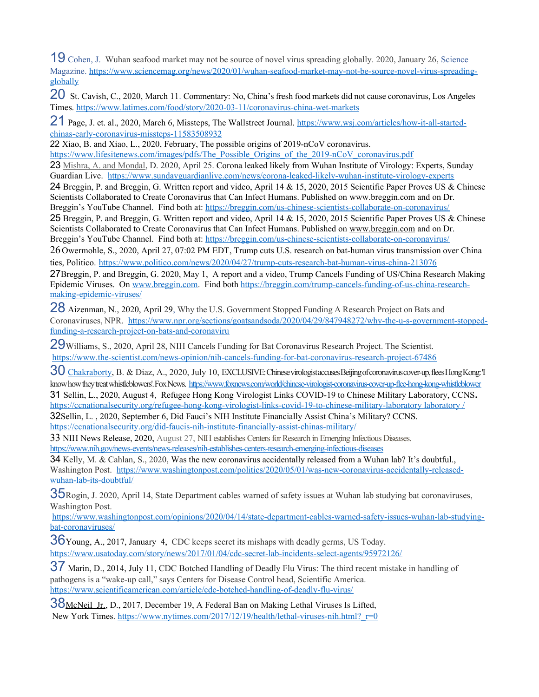<span id="page-43-0"></span>19<sup>°</sup>Cohen, J. Wuhan seafood market may not be source of novel virus spreading globally. 2020, January 26, Science Magazine. [https://www.sciencemag.org/news/2020/01/wuhan-seafood-market-may-not-be-source-novel-virus-spreading](https://www.sciencemag.org/news/2020/01/wuhan-seafood-market-may-not-be-source-novel-virus-spreading-globally)[globally](https://www.sciencemag.org/news/2020/01/wuhan-seafood-market-may-not-be-source-novel-virus-spreading-globally) 

<span id="page-43-1"></span>20<sup>□</sup>St. Cavish, C., 2020, March 11. Commentary: No, China's fresh food markets did not cause coronavirus, Los Angeles Times.<https://www.latimes.com/food/story/2020-03-11/coronavirus-china-wet-markets>

<span id="page-43-2"></span>21 Page, J. et. al., 2020, March 6, Missteps, The Wallstreet Journal. [https://www.wsj.com/articles/how-it-all-started](https://www.wsj.com/articles/how-it-all-started-chinas-early-coronavirus-missteps-11583508932)[chinas-early-coronavirus-missteps-11583508932](https://www.wsj.com/articles/how-it-all-started-chinas-early-coronavirus-missteps-11583508932)

<span id="page-43-3"></span>22<sup>T</sup>Xiao, B. and Xiao, L., 2020, February, The possible origins of 2019-nCoV coronavirus.

<span id="page-43-4"></span>[https://www.lifesitenews.com/images/pdfs/The\\_Possible\\_Origins\\_of\\_the\\_2019-nCoV\\_coronavirus.pdf](https://www.lifesitenews.com/images/pdfs/The_Possible_Origins_of_the_2019-nCoV_coronavirus.pdf) 23<sup>I</sup>[Mishra, A. and Mondal,](javascript:void(0)) D. 2020, April 25. Corona leaked likely from Wuhan Institute of Virology: Experts, Sunday Guardian Live. <https://www.sundayguardianlive.com/news/corona-leaked-likely-wuhan-institute-virology-experts>

<span id="page-43-5"></span>24 Breggin, P. and Breggin, G. Written report and video, April 14 & 15, 2020, 2015 Scientific Paper Proves US & Chinese Scientists Collaborated to Create Coronavirus that Can Infect Humans. Published on [www.breggin.com](http://www.breggin.com/) and on Dr. Breggin's YouTube Channel. Find both at:<https://breggin.com/us-chinese-scientists-collaborate-on-coronavirus/>

<span id="page-43-6"></span>25 Breggin, P. and Breggin, G. Written report and video, April 14 & 15, 2020, 2015 Scientific Paper Proves US & Chinese Scientists Collaborated to Create Coronavirus that Can Infect Humans. Published on [www.breggin.com](http://www.breggin.com/) and on Dr. Breggin's YouTube Channel. Find both at:<https://breggin.com/us-chinese-scientists-collaborate-on-coronavirus/>

<span id="page-43-7"></span>26-Owermohle, S., 2020, April 27, 07:02 PM EDT, Trump cuts U.S. research on bat-human virus transmission over China ties, Politico. <https://www.politico.com/news/2020/04/27/trump-cuts-research-bat-human-virus-china-213076>

<span id="page-43-8"></span>27Breggin, P. and Breggin, G. 2020, May 1, A report and a video, Trump Cancels Funding of US/China Research Making Epidemic Viruses. On [www.breggin.com.](http://www.breggin.com/) Find both [https://breggin.com/trump-cancels-funding-of-us-china-research](https://breggin.com/trump-cancels-funding-of-us-china-research-making-epidemic-viruses/)[making-epidemic-viruses/](https://breggin.com/trump-cancels-funding-of-us-china-research-making-epidemic-viruses/)

<span id="page-43-9"></span>28<sup>T</sup>Aizenman, N., 2020, April 29, Why the U.S. Government Stopped Funding A Research Project on Bats and Coronaviruses, NPR. [https://www.npr.org/sections/goatsandsoda/2020/04/29/847948272/why-the-u-s-government-stopped](https://www.npr.org/sections/goatsandsoda/2020/04/29/847948272/why-the-u-s-government-stopped-funding-a-research-project-on-bats-and-coronaviru)[funding-a-research-project-on-bats-and-coronaviru](https://www.npr.org/sections/goatsandsoda/2020/04/29/847948272/why-the-u-s-government-stopped-funding-a-research-project-on-bats-and-coronaviru) 

<span id="page-43-10"></span>29 Williams, S., 2020, April 28, NIH Cancels Funding for Bat Coronavirus Research Project. The Scientist. <https://www.the-scientist.com/news-opinion/nih-cancels-funding-for-bat-coronavirus-research-project-67486>

<span id="page-43-11"></span>30<sup>T</sup>[Chakraborty,](https://www.foxnews.com/person/c/barnini-chakraborty) B. & Diaz, A., 2020, July 10, EXCLUSIVE: Chinese virologist accuses Beijing of coronavirus cover-up, flees Hong Kong: T know how they treat whistleblowers'. Fox News. <https://www.foxnews.com/world/chinese-virologist-coronavirus-cover-up-flee-hong-kong-whistleblower> 31- Sellin, L., 2020, August 4, Refugee Hong Kong Virologist Links COVID-19 to Chinese Military Laboratory, CCNS**.**  [https://ccnationalsecurity.org/refugee-hong-kong-virologist-links-covid-19-to-chinese-military-laboratory laboratory /](https://ccnationalsecurity.org/refugee-hong-kong-virologist-links-covid-19-to-chinese-military-laboratory/)

<span id="page-43-13"></span><span id="page-43-12"></span>32 Sellin, L., 2020, September 6, Did Fauci's NIH Institute Financially Assist China's Military? CCNS. <https://ccnationalsecurity.org/did-faucis-nih-institute-financially-assist-chinas-military/>

<span id="page-43-14"></span>33 NIH News Release, 2020, August 27, NIH establishes Centers for Research in Emerging Infectious Diseases. <https://www.nih.gov/news-events/news-releases/nih-establishes-centers-research-emerging-infectious-diseases>

<span id="page-43-15"></span>34-Kelly, M. & Cahlan, S., 2020, Was the new coronavirus accidentally released from a Wuhan lab? It's doubtful., Washington Post. [https://www.washingtonpost.com/politics/2020/05/01/was-new-coronavirus-accidentally-released](https://www.washingtonpost.com/politics/2020/05/01/was-new-coronavirus-accidentally-released-wuhan-lab-its-doubtful/)[wuhan-lab-its-doubtful/](https://www.washingtonpost.com/politics/2020/05/01/was-new-coronavirus-accidentally-released-wuhan-lab-its-doubtful/)

<span id="page-43-16"></span>35Rogin, J. 2020, April 14, State Department cables warned of safety issues at Wuhan lab studying bat coronaviruses, Washington Post.

[https://www.washingtonpost.com/opinions/2020/04/14/state-department-cables-warned-safety-issues-wuhan-lab-studying](https://www.washingtonpost.com/opinions/2020/04/14/state-department-cables-warned-safety-issues-wuhan-lab-studying-bat-coronaviruses/)[bat-coronaviruses/](https://www.washingtonpost.com/opinions/2020/04/14/state-department-cables-warned-safety-issues-wuhan-lab-studying-bat-coronaviruses/)

<span id="page-43-17"></span>36Young, A., 2017, January 4, CDC keeps secret its mishaps with deadly germs, US Today. <https://www.usatoday.com/story/news/2017/01/04/cdc-secret-lab-incidents-select-agents/95972126/>

<span id="page-43-18"></span>37 Marin, D., 2014, July 11, CDC Botched Handling of Deadly Flu Virus: The third recent mistake in handling of pathogens is a "wake-up call," says Centers for Disease Control head, Scientific America. <https://www.scientificamerican.com/article/cdc-botched-handling-of-deadly-flu-virus/>

<span id="page-43-19"></span>38McNeil Jr., D., 2017, December 19, A Federal Ban on Making Lethal Viruses Is Lifted, New York Times. https://www.nytimes.com/2017/12/19/health/lethal-viruses-nih.html? r=0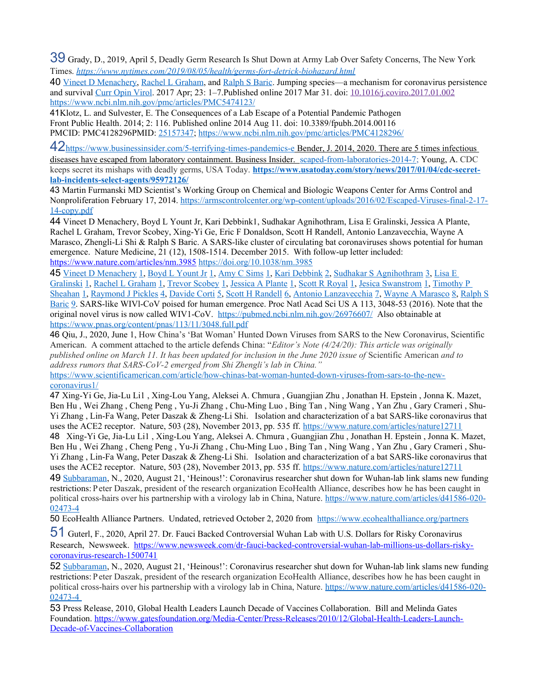<span id="page-44-0"></span>39 Grady, D., 2019, April 5, Deadly Germ Research Is Shut Down at Army Lab Over Safety Concerns, The New York Times. *<https://www.nytimes.com/2019/08/05/health/germs-fort-detrick-biohazard.html>*

<span id="page-44-1"></span>40<sup>T</sup>[Vineet D Menachery,](https://www.ncbi.nlm.nih.gov/pubmed/?term=Menachery%20VD%5BAuthor%5D&cauthor=true&cauthor_uid=28214731) [Rachel L Graham,](https://www.ncbi.nlm.nih.gov/pubmed/?term=Graham%20RL%5BAuthor%5D&cauthor=true&cauthor_uid=28214731) and [Ralph S Baric.](https://www.ncbi.nlm.nih.gov/pubmed/?term=Baric%20RS%5BAuthor%5D&cauthor=true&cauthor_uid=28214731) Jumping species—a mechanism for coronavirus persistence and survival [Curr Opin Virol.](https://www.ncbi.nlm.nih.gov/pmc/articles/PMC5474123/) 2017 Apr; 23: 1–7.Published online 2017 Mar 31. doi: [10.1016/j.coviro.2017.01.002](https://dx.doi.org/10.1016%2Fj.coviro.2017.01.002) <https://www.ncbi.nlm.nih.gov/pmc/articles/PMC5474123/>

<span id="page-44-2"></span>41 Klotz, L. and Sulvester, E. The Consequences of a Lab Escape of a Potential Pandemic Pathogen [Front Public Health.](https://www.ncbi.nlm.nih.gov/pmc/articles/PMC4128296/) 2014; 2: 116. Published online 2014 Aug 11. doi: [10.3389/fpubh.2014.00116](https://dx.doi.org/10.3389%2Ffpubh.2014.00116) PMCID: PMC4128296PMID: [25157347;](https://www.ncbi.nlm.nih.gov/pubmed/25157347)<https://www.ncbi.nlm.nih.gov/pmc/articles/PMC4128296/>

<span id="page-44-3"></span>42https://www.businessinsider.com/5-terrifying-times-pandemics-e<sup>-</sup>Bender, J. 2014, 2020. There are 5 times infectious  [diseases have escaped from laboratory containment. Business Insider. scaped-from-laboratories-2014-7;](https://www.businessinsider.com/5-terrifying-times-pandemics-escaped-from-laboratories-2014-7) Young, A. CDC keeps secret its mishaps with deadly germs, USA Today. **[https://www.usatoday.com/story/news/2017/01/04/cdc-secret](https://www.usatoday.com/story/news/2017/01/04/cdc-secret-lab-incidents-select-agents/95972126/)[lab-incidents-select-agents/95972126/](https://www.usatoday.com/story/news/2017/01/04/cdc-secret-lab-incidents-select-agents/95972126/)**

<span id="page-44-4"></span>43- Martin Furmanski MD Scientist's Working Group on Chemical and Biologic Weapons Center for Arms Control and Nonproliferation February 17, 2014. [https://armscontrolcenter.org/wp-content/uploads/2016/02/Escaped-Viruses-final-2-17-](https://armscontrolcenter.org/wp-content/uploads/2016/02/Escaped-Viruses-final-2-17-14-copy.pdf) [14-copy.pdf](https://armscontrolcenter.org/wp-content/uploads/2016/02/Escaped-Viruses-final-2-17-14-copy.pdf)

<span id="page-44-5"></span>44- Vineet D Menachery, Boyd L Yount Jr, Kari Debbink1, Sudhakar Agnihothram, Lisa E Gralinski, Jessica A Plante, Rachel L Graham, Trevor Scobey, Xing-Yi Ge, Eric F Donaldson, Scott H Randell, Antonio Lanzavecchia, Wayne A Marasco, Zhengli-Li Shi & Ralph S Baric. A SARS-like cluster of circulating bat coronaviruses shows potential for human emergence. Nature Medicine, 21 (12), 1508-1514. December 2015. With follow-up letter included: <https://www.nature.com/articles/nm.3985> <https://doi.org/10.1038/nm.3985>

<span id="page-44-32"></span><span id="page-44-31"></span><span id="page-44-30"></span><span id="page-44-29"></span><span id="page-44-28"></span><span id="page-44-27"></span><span id="page-44-26"></span><span id="page-44-25"></span><span id="page-44-24"></span><span id="page-44-23"></span><span id="page-44-22"></span><span id="page-44-21"></span><span id="page-44-20"></span><span id="page-44-19"></span><span id="page-44-18"></span><span id="page-44-17"></span><span id="page-44-16"></span><span id="page-44-6"></span>45<sup>T</sup>[Vineet D Menachery](https://pubmed.ncbi.nlm.nih.gov/?term=Menachery+VD&cauthor_id=26976607) [1,](#page-44-30) [Boyd L Yount Jr](https://pubmed.ncbi.nlm.nih.gov/?term=Yount+BL+Jr&cauthor_id=26976607) 1, [Amy C Sims](https://pubmed.ncbi.nlm.nih.gov/?term=Sims+AC&cauthor_id=26976607) 1, [Kari Debbink](https://pubmed.ncbi.nlm.nih.gov/?term=Debbink+K&cauthor_id=26976607) [2,](#page-44-29) [Sudhakar S Agnihothram](https://pubmed.ncbi.nlm.nih.gov/?term=Agnihothram+SS&cauthor_id=26976607) [3,](#page-44-28) Lisa E [Gralinski](https://pubmed.ncbi.nlm.nih.gov/?term=Gralinski+LE&cauthor_id=26976607) [1,](#page-44-27) [Rachel L Graham](https://pubmed.ncbi.nlm.nih.gov/?term=Graham+RL&cauthor_id=26976607) [1,](#page-44-26) [Trevor Scobey](https://pubmed.ncbi.nlm.nih.gov/?term=Scobey+T&cauthor_id=26976607) [1,](#page-44-25) [Jessica A Plante](https://pubmed.ncbi.nlm.nih.gov/?term=Plante+JA&cauthor_id=26976607) [1,](#page-44-24) [Scott R Royal](https://pubmed.ncbi.nlm.nih.gov/?term=Royal+SR&cauthor_id=26976607) [1,](#page-44-23) [Jesica Swanstrom](https://pubmed.ncbi.nlm.nih.gov/?term=Swanstrom+J&cauthor_id=26976607) [1,](#page-44-22) [Timothy P](https://pubmed.ncbi.nlm.nih.gov/?term=Sheahan+TP&cauthor_id=26976607)  [Sheahan](https://pubmed.ncbi.nlm.nih.gov/?term=Sheahan+TP&cauthor_id=26976607) [1,](#page-44-21) [Raymond J Pickles](https://pubmed.ncbi.nlm.nih.gov/?term=Pickles+RJ&cauthor_id=26976607) [4,](#page-44-20) [Davide Corti](https://pubmed.ncbi.nlm.nih.gov/?term=Corti+D&cauthor_id=26976607) [5,](#page-44-19) [Scott H Randell](https://pubmed.ncbi.nlm.nih.gov/?term=Randell+SH&cauthor_id=26976607) [6,](#page-44-18) [Antonio Lanzavecchia](https://pubmed.ncbi.nlm.nih.gov/?term=Lanzavecchia+A&cauthor_id=26976607) [7,](#page-44-17) [Wayne A Marasco](https://pubmed.ncbi.nlm.nih.gov/?term=Marasco+WA&cauthor_id=26976607) [8,](#page-44-16) [Ralph S](https://pubmed.ncbi.nlm.nih.gov/?term=Baric+RS&cauthor_id=26976607) [Baric](https://pubmed.ncbi.nlm.nih.gov/?term=Baric+RS&cauthor_id=26976607) [9.](#page-44-15) SARS-like WIVl-CoV poised for human emergence. Proc Natl Acad Sci US A 113, 3048-53 (2016). Note that the original novel virus is now called WIV1-CoV. <https://pubmed.ncbi.nlm.nih.gov/26976607/>Also obtainable at <https://www.pnas.org/content/pnas/113/11/3048.full.pdf>

<span id="page-44-15"></span><span id="page-44-7"></span>46- Qiu, J., 2020, June 1, How China's 'Bat Woman' Hunted Down Viruses from SARS to the New Coronavirus, Scientific American. A comment attached to the article defends China: "*Editor's Note (4/24/20): This article was originally published online on March 11. It has been updated for inclusion in the June 2020 issue of* Scientific American *and to address rumors that SARS-CoV-2 emerged from Shi Zhengli's lab in China."*

[https://www.scientificamerican.com/article/how-chinas-bat-woman-hunted-down-viruses-from-sars-to-the-new](https://www.scientificamerican.com/article/how-chinas-bat-woman-hunted-down-viruses-from-sars-to-the-new-coronavirus1/)[coronavirus1/](https://www.scientificamerican.com/article/how-chinas-bat-woman-hunted-down-viruses-from-sars-to-the-new-coronavirus1/)

<span id="page-44-8"></span>47- Xing-Yi Ge, Jia-Lu Li1 , Xing-Lou Yang, Aleksei A. Chmura , Guangjian Zhu , Jonathan H. Epstein , Jonna K. Mazet, Ben Hu , Wei Zhang , Cheng Peng , Yu-Ji Zhang , Chu-Ming Luo , Bing Tan , Ning Wang , Yan Zhu , Gary Crameri , Shu-Yi Zhang , Lin-Fa Wang, Peter Daszak & Zheng-Li Shi. Isolation and characterization of a bat SARS-like coronavirus that uses the ACE2 receptor. Nature, 503 (28), November 2013, pp. 535 ff. https://www.nature.com/articles/nature12711

<span id="page-44-9"></span>48<sup>n</sup> Xing-Yi Ge, Jia-Lu Li1, Xing-Lou Yang, Aleksei A. Chmura, Guangjian Zhu, Jonathan H. Epstein, Jonna K. Mazet, Ben Hu , Wei Zhang , Cheng Peng , Yu-Ji Zhang , Chu-Ming Luo , Bing Tan , Ning Wang , Yan Zhu , Gary Crameri , Shu-Yi Zhang, Lin-Fa Wang, Peter Daszak & Zheng-Li Shi. Isolation and characterization of a bat SARS-like coronavirus that uses the ACE2 receptor. Nature, 503 (28), November 2013, pp. 535 ff. https://www.nature.com/articles/nature12711

<span id="page-44-10"></span>49<sup>C</sup>[Subbaraman,](javascript:;) N., 2020, August 21, 'Heinous!': Coronavirus researcher shut down for Wuhan-lab link slams new funding restrictions: Peter Daszak, president of the research organization EcoHealth Alliance, describes how he has been caught in political cross-hairs over his partnership with a virology lab in China, Nature. [https://www.nature.com/articles/d41586-020-](https://www.nature.com/articles/d41586-020-02473-4) [02473-4](https://www.nature.com/articles/d41586-020-02473-4)

<span id="page-44-11"></span>50 EcoHealth Alliance Partners. Undated, retrieved October 2, 2020 from <https://www.ecohealthalliance.org/partners>

<span id="page-44-12"></span>51 Guterl, F., 2020, April 27. Dr. Fauci Backed Controversial Wuhan Lab with U.S. Dollars for Risky Coronavirus Research, Newsweek. [https://www.newsweek.com/dr-fauci-backed-controversial-wuhan-lab-millions-us-dollars-risky](https://www.newsweek.com/dr-fauci-backed-controversial-wuhan-lab-millions-us-dollars-risky-coronavirus-research-1500741)[coronavirus-research-1500741](https://www.newsweek.com/dr-fauci-backed-controversial-wuhan-lab-millions-us-dollars-risky-coronavirus-research-1500741)

<span id="page-44-13"></span>52<sup>C</sup>[Subbaraman,](javascript:;) N., 2020, August 21, 'Heinous!': Coronavirus researcher shut down for Wuhan-lab link slams new funding restrictions: Peter Daszak, president of the research organization EcoHealth Alliance, describes how he has been caught in political cross-hairs over his partnership with a virology lab in China, Nature. [https://www.nature.com/articles/d41586-020-](https://www.nature.com/articles/d41586-020-02473-4)  [02473-4](https://www.nature.com/articles/d41586-020-02473-4)

<span id="page-44-14"></span>53<sup>P</sup>ress Release, 2010, Global Health Leaders Launch Decade of Vaccines Collaboration. Bill and Melinda Gates Foundation. [https://www.gatesfoundation.org/Media-Center/Press-Releases/2010/12/Global-Health-Leaders-Launch-](https://www.gatesfoundation.org/Media-Center/Press-Releases/2010/12/Global-Health-Leaders-Launch-Decade-of-Vaccines-Collaboration)[Decade-of-Vaccines-Collaboration](https://www.gatesfoundation.org/Media-Center/Press-Releases/2010/12/Global-Health-Leaders-Launch-Decade-of-Vaccines-Collaboration)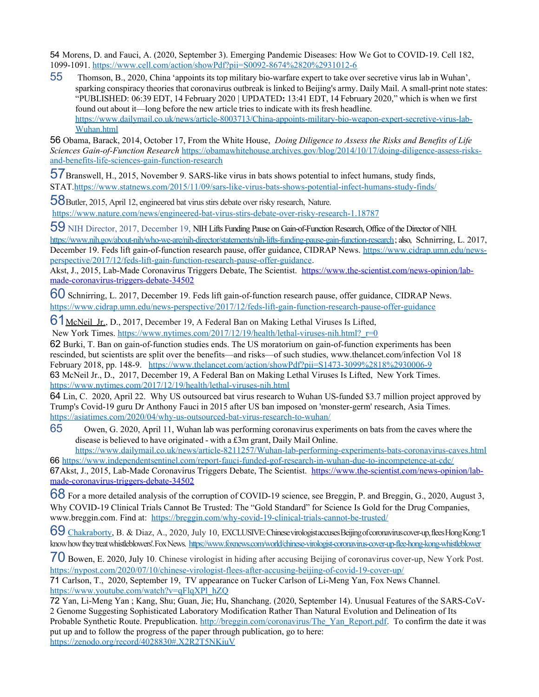<span id="page-45-0"></span>54- Morens, D. and Fauci, A. (2020, September 3). Emerging Pandemic Diseases: How We Got to COVID-19. Cell 182, 1099-1091. [https://www.cell.com/action/showPdf?pii=S0092-8674%2820%2931012-6](https://www.cell.com/action/showPdf?pii=S0092-8674(20)31012-6)

<span id="page-45-1"></span> $55<sub>5</sub>$ Thomson, B., 2020, China 'appoints its top military bio-warfare expert to take over secretive virus lab in Wuhan', sparking conspiracy theories that coronavirus outbreak is linked to Beijing's army. Daily Mail. A small-print note states: "PUBLISHED: 06:39 EDT, 14 February 2020 | UPDATED**:** 13:41 EDT, 14 February 2020," which is when we first found out about it—long before the new article tries to indicate with its fresh headline. [https://www.dailymail.co.uk/news/article-8003713/China-appoints-military-bio-weapon-expert-secretive-virus-lab-](https://www.dailymail.co.uk/news/article-8003713/China-appoints-military-bio-weapon-expert-secretive-virus-lab-Wuhan.html)[Wuhan.html](https://www.dailymail.co.uk/news/article-8003713/China-appoints-military-bio-weapon-expert-secretive-virus-lab-Wuhan.html) 

<span id="page-45-2"></span>56<sup>D</sup>obama, Barack, 2014, October 17, From the White House, *Doing Diligence to Assess the Risks and Benefits of Life Sciences Gain-of-Function Research* [https://obamawhitehouse.archives.gov/blog/2014/10/17/doing-diligence-assess-risks](https://obamawhitehouse.archives.gov/blog/2014/10/17/doing-diligence-assess-risks-and-benefits-life-sciences-gain-function-research)[and-benefits-life-sciences-gain-function-research](https://obamawhitehouse.archives.gov/blog/2014/10/17/doing-diligence-assess-risks-and-benefits-life-sciences-gain-function-research)

<span id="page-45-3"></span>57 Branswell, H., 2015, November 9. SARS-like virus in bats shows potential to infect humans, study finds, STAT[.https://www.statnews.com/2015/11/09/sars-like-virus-bats-shows-potential-infect-humans-study-finds/](https://www.statnews.com/2015/11/09/sars-like-virus-bats-shows-potential-infect-humans-study-finds/)

<span id="page-45-4"></span>58Butler, 2015, April 12, engineered bat virus stirs debate over risky research, Nature. <https://www.nature.com/news/engineered-bat-virus-stirs-debate-over-risky-research-1.18787>

<span id="page-45-5"></span>59<sup>-</sup>NIH Director, 2017, December 19, NIH Lifts Funding Pause on Gain-of-Function Research, Office of the Director of NIH. [https://www.nih.gov/about-nih/who-we-are/nih-director/statements/nih-lifts-funding-pause-gain-function-research;](https://www.nih.gov/about-nih/who-we-are/nih-director/statements/nih-lifts-funding-pause-gain-function-research) also, Schnirring, L. 2017, December 19. Feds lift gain-of-function research pause, offer guidance, CIDRAP News. [https://www.cidrap.umn.edu/news](https://www.cidrap.umn.edu/news-perspective/2017/12/feds-lift-gain-function-research-pause-offer-guidance)[perspective/2017/12/feds-lift-gain-function-research-pause-offer-guidance.](https://www.cidrap.umn.edu/news-perspective/2017/12/feds-lift-gain-function-research-pause-offer-guidance)

Akst, J., 2015, Lab-Made Coronavirus Triggers Debate, The Scientist. [https://www.the-scientist.com/news-opinion/lab](https://www.the-scientist.com/news-opinion/lab-made-coronavirus-triggers-debate-34502)[made-coronavirus-triggers-debate-34502](https://www.the-scientist.com/news-opinion/lab-made-coronavirus-triggers-debate-34502)

<span id="page-45-6"></span>60 Schnirring, L. 2017, December 19. Feds lift gain-of-function research pause, offer guidance, CIDRAP News. <https://www.cidrap.umn.edu/news-perspective/2017/12/feds-lift-gain-function-research-pause-offer-guidance>

<span id="page-45-7"></span>61 McNeil Jr., D., 2017, December 19, A Federal Ban on Making Lethal Viruses Is Lifted, New York Times. https://www.nytimes.com/2017/12/19/health/lethal-viruses-nih.html? r=0

<span id="page-45-8"></span>62 Burki, T. Ban on gain-of-function studies ends. The US moratorium on gain-of-function experiments has been rescinded, but scientists are split over the benefits—and risks—of such studies, www.thelancet.com/infection Vol 18 February 2018, pp. 148-9.[https://www.thelancet.com/action/showPdf?pii=S1473-3099%2818%2930006-9](https://www.thelancet.com/action/showPdf?pii=S1473-3099(18)30006-9) 63- McNeil Jr., D., 2017, December 19, A Federal Ban on Making Lethal Viruses Is Lifted, New York Times. <https://www.nytimes.com/2017/12/19/health/lethal-viruses-nih.html>

<span id="page-45-10"></span><span id="page-45-9"></span>64 Lin, C. 2020, April 22. Why US outsourced bat virus research to Wuhan US-funded \$3.7 million project approved by Trump's Covid-19 guru Dr Anthony Fauci in 2015 after US ban imposed on 'monster-germ' research, Asia Times. <https://asiatimes.com/2020/04/why-us-outsourced-bat-virus-research-to-wuhan/>

<span id="page-45-11"></span>65  $\Box$  Owen, G. 2020, April 11, Wuhan lab was performing coronavirus experiments on bats from the caves where the disease is believed to have originated - with a £3m grant, Daily Mail Online.

<span id="page-45-13"></span><span id="page-45-12"></span><https://www.dailymail.co.uk/news/article-8211257/Wuhan-lab-performing-experiments-bats-coronavirus-caves.html> 66<sup>n</sup><https://www.independentsentinel.com/report-fauci-funded-gof-research-in-wuhan-due-to-incompetence-at-cdc/> 67Akst, J., 2015, Lab-Made Coronavirus Triggers Debate, The Scientist. [https://www.the-scientist.com/news-opinion/lab](https://www.the-scientist.com/news-opinion/lab-made-coronavirus-triggers-debate-34502)[made-coronavirus-triggers-debate-34502](https://www.the-scientist.com/news-opinion/lab-made-coronavirus-triggers-debate-34502)

<span id="page-45-14"></span>68 For a more detailed analysis of the corruption of COVID-19 science, see Breggin, P. and Breggin, G., 2020, August 3, Why COVID-19 Clinical Trials Cannot Be Trusted: The "Gold Standard" for Science Is Gold for the Drug Companies, [www.breggin.com.](http://www.breggin.com/) Find at: <https://breggin.com/why-covid-19-clinical-trials-cannot-be-trusted/>

<span id="page-45-15"></span>69<sup>c</sup>[Chakraborty,](https://www.foxnews.com/person/c/barnini-chakraborty) B. & Diaz, A., 2020, July 10, EXCLUSIVE: Chinese virologist accuses Beijing of coronavirus cover-up, flees Hong Kong: T know how they treat whistleblowers'. Fox News. <https://www.foxnews.com/world/chinese-virologist-coronavirus-cover-up-flee-hong-kong-whistleblower>

<span id="page-45-16"></span>70- Bowen, E. 2020, July 10. Chinese virologist in hiding after accusing Beijing of coronavirus cover-up, New York Post. <https://nypost.com/2020/07/10/chinese-virologist-flees-after-accusing-beijing-of-covid-19-cover-up/>

<span id="page-45-17"></span>71- Carlson, T., 2020, September 19, TV appearance on Tucker Carlson of Li-Meng Yan, Fox News Channel. [https://www.youtube.com/watch?v=qFlqXPl\\_hZQ](https://www.youtube.com/watch?v=qFlqXPl_hZQ)

<span id="page-45-19"></span><span id="page-45-18"></span>72- Yan, Li-Meng Yan ; Kang, Shu; Guan, Jie; Hu, Shanchang. (2020, September 14). Unusual Features of the SARS-CoV-2 Genome Suggesting Sophisticated Laboratory Modification Rather Than Natural Evolution and Delineation of Its Probable Synthetic Route. Prepublication. [http://breggin.com/coronavirus/The\\_Yan\\_Report.pdf.](http://breggin.com/coronavirus/The_Yan_Report.pdf) To confirm the date it was put up and to follow the progress of the paper through publication, go to here: [https://zenodo.org/record/4028830#.X2R2T5NKiuV](#page-45-19)